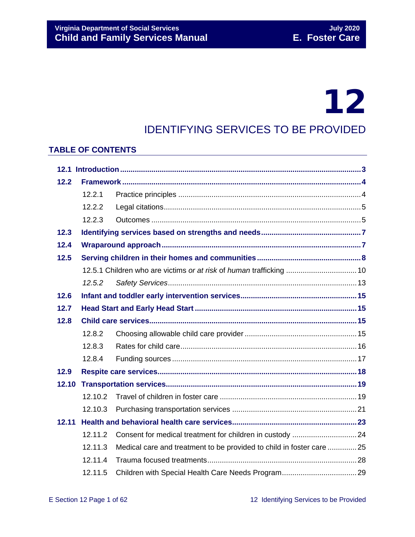# 12

# IDENTIFYING SERVICES TO BE PROVIDED

### **TABLE OF CONTENTS**

| 12.2  |                                                                     |                                                                      |  |  |  |
|-------|---------------------------------------------------------------------|----------------------------------------------------------------------|--|--|--|
|       | 12.2.1                                                              |                                                                      |  |  |  |
|       | 12.2.2                                                              |                                                                      |  |  |  |
|       | 12.2.3                                                              |                                                                      |  |  |  |
| 12.3  |                                                                     |                                                                      |  |  |  |
| 12.4  |                                                                     |                                                                      |  |  |  |
| 12.5  |                                                                     |                                                                      |  |  |  |
|       | 12.5.1 Children who are victims or at risk of human trafficking  10 |                                                                      |  |  |  |
|       | 12.5.2                                                              |                                                                      |  |  |  |
| 12.6  |                                                                     |                                                                      |  |  |  |
| 12.7  |                                                                     |                                                                      |  |  |  |
| 12.8  |                                                                     |                                                                      |  |  |  |
|       | 12.8.2                                                              |                                                                      |  |  |  |
|       | 12.8.3                                                              |                                                                      |  |  |  |
|       | 12.8.4                                                              |                                                                      |  |  |  |
| 12.9  |                                                                     |                                                                      |  |  |  |
| 12.10 |                                                                     |                                                                      |  |  |  |
|       | 12.10.2                                                             |                                                                      |  |  |  |
|       | 12.10.3                                                             |                                                                      |  |  |  |
| 12.11 |                                                                     |                                                                      |  |  |  |
|       | 12.11.2                                                             |                                                                      |  |  |  |
|       | 12.11.3                                                             | Medical care and treatment to be provided to child in foster care 25 |  |  |  |
|       | 12.11.4                                                             |                                                                      |  |  |  |
|       | 12.11.5                                                             |                                                                      |  |  |  |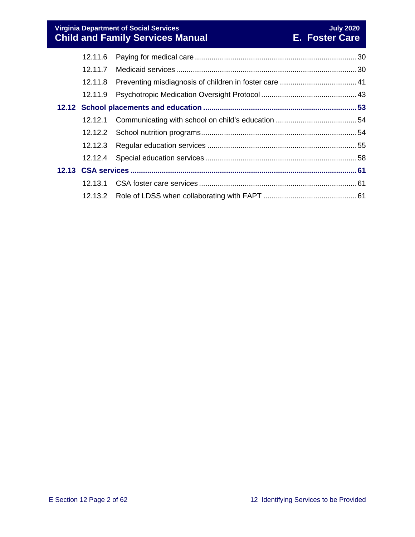**Virginia Department of Social Services July 2020 Child and Family Services Manual E. Foster Care**

| 12.11.6 |  |
|---------|--|
| 12.11.7 |  |
| 12.11.8 |  |
| 12.11.9 |  |
|         |  |
|         |  |
|         |  |
|         |  |
|         |  |
|         |  |
|         |  |
|         |  |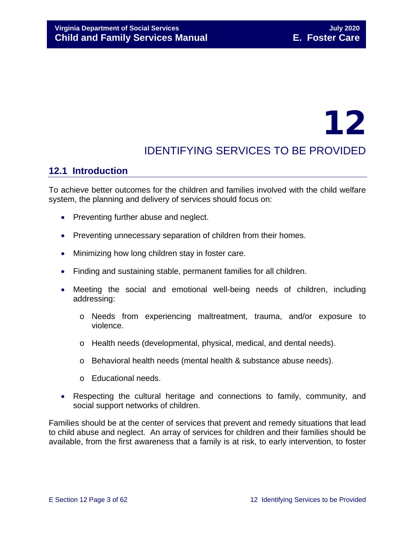# 12

# IDENTIFYING SERVICES TO BE PROVIDED

# <span id="page-2-0"></span>**12.1 Introduction**

To achieve better outcomes for the children and families involved with the child welfare system, the planning and delivery of services should focus on:

- Preventing further abuse and neglect.
- Preventing unnecessary separation of children from their homes.
- Minimizing how long children stay in foster care.
- Finding and sustaining stable, permanent families for all children.
- Meeting the social and emotional well-being needs of children, including addressing:
	- o Needs from experiencing maltreatment, trauma, and/or exposure to violence.
	- o Health needs (developmental, physical, medical, and dental needs).
	- o Behavioral health needs (mental health & substance abuse needs).
	- o Educational needs.
- Respecting the cultural heritage and connections to family, community, and social support networks of children.

Families should be at the center of services that prevent and remedy situations that lead to child abuse and neglect. An array of services for children and their families should be available, from the first awareness that a family is at risk, to early intervention, to foster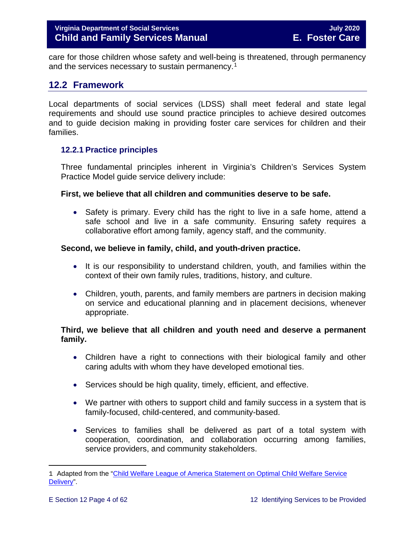care for those children whose safety and well-being is threatened, through permanency and the services necessary to sustain permanency.<sup>[1](#page-3-2)</sup>

# <span id="page-3-0"></span>**12.2 Framework**

Local departments of social services (LDSS) shall meet federal and state legal requirements and should use sound practice principles to achieve desired outcomes and to guide decision making in providing foster care services for children and their families.

#### <span id="page-3-1"></span>**12.2.1 Practice principles**

Three fundamental principles inherent in Virginia's Children's Services System Practice Model guide service delivery include:

#### **First, we believe that all children and communities deserve to be safe.**

• Safety is primary. Every child has the right to live in a safe home, attend a safe school and live in a safe community. Ensuring safety requires a collaborative effort among family, agency staff, and the community.

#### **Second, we believe in family, child, and youth-driven practice.**

- It is our responsibility to understand children, youth, and families within the context of their own family rules, traditions, history, and culture.
- Children, youth, parents, and family members are partners in decision making on service and educational planning and in placement decisions, whenever appropriate.

#### **Third, we believe that all children and youth need and deserve a permanent family.**

- Children have a right to connections with their biological family and other caring adults with whom they have developed emotional ties.
- Services should be high quality, timely, efficient, and effective.
- We partner with others to support child and family success in a system that is family-focused, child-centered, and community-based.
- Services to families shall be delivered as part of a total system with cooperation, coordination, and collaboration occurring among families, service providers, and community stakeholders.

<span id="page-3-2"></span>Ĩ. 1 Adapted from the "Child Welfare League of America Statement on Optimal Child Welfare Service [Delivery"](http://www.cwla.org/advocacy/financingoptimaldeliv.htm).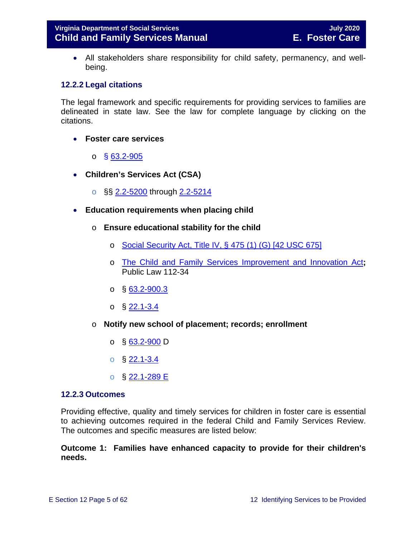• All stakeholders share responsibility for child safety, permanency, and wellbeing.

#### <span id="page-4-0"></span>**12.2.2 Legal citations**

The legal framework and specific requirements for providing services to families are delineated in state law. See the law for complete language by clicking on the citations.

- **Foster care services** 
	- o § [63.2-905](https://law.lis.virginia.gov/vacode/63.2-905/)
- **Children's Services Act (CSA)**
	- o §§ [2.2-5200](https://law.lis.virginia.gov/vacode/2.2-5200/) through [2.2-5214](https://law.lis.virginia.gov/vacode/2.2-5214/)
- **Education requirements when placing child**
	- o **Ensure educational stability for the child**
		- o [Social Security Act, Title IV, § 475 \(1\) \(G\) \[42 USC 675\]](http://www.ssa.gov/OP_Home/ssact/title04/0475.htm)
		- o [The Child and Family Services Improvement and Innovation Act](http://www.gpo.gov/fdsys/pkg/PLAW-112publ34/html/PLAW-112publ34.htm)**;**  Public Law 112-34
		- $\circ$  § [63.2-900.3](https://law.lis.virginia.gov/vacode/63.2-900.3/)
		- $\circ$  § [22.1-3.4](https://law.lis.virginia.gov/vacode/22.1-3.4/)
	- o **Notify new school of placement; records; enrollment**
		- o § [63.2-900](https://law.lis.virginia.gov/vacode/63.2-900/) D
		- $\circ$  § [22.1-3.4](https://law.lis.virginia.gov/vacode/22.1-3.4/)
		- o § [22.1-289 E](https://law.lis.virginia.gov/vacode/22.1-289/)

#### <span id="page-4-1"></span>**12.2.3 Outcomes**

Providing effective, quality and timely services for children in foster care is essential to achieving outcomes required in the federal Child and Family Services Review. The outcomes and specific measures are listed below:

#### **Outcome 1: Families have enhanced capacity to provide for their children's needs.**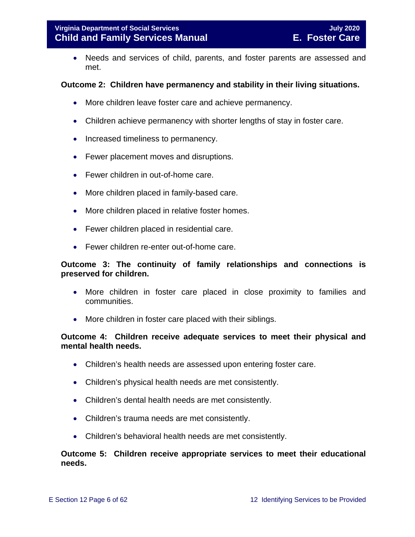• Needs and services of child, parents, and foster parents are assessed and met.

#### **Outcome 2: Children have permanency and stability in their living situations.**

- More children leave foster care and achieve permanency.
- Children achieve permanency with shorter lengths of stay in foster care.
- Increased timeliness to permanency.
- Fewer placement moves and disruptions.
- Fewer children in out-of-home care.
- More children placed in family-based care.
- More children placed in relative foster homes.
- Fewer children placed in residential care.
- Fewer children re-enter out-of-home care.

#### **Outcome 3: The continuity of family relationships and connections is preserved for children.**

- More children in foster care placed in close proximity to families and communities.
- More children in foster care placed with their siblings.

#### **Outcome 4: Children receive adequate services to meet their physical and mental health needs.**

- Children's health needs are assessed upon entering foster care.
- Children's physical health needs are met consistently.
- Children's dental health needs are met consistently.
- Children's trauma needs are met consistently.
- Children's behavioral health needs are met consistently.

#### **Outcome 5: Children receive appropriate services to meet their educational needs.**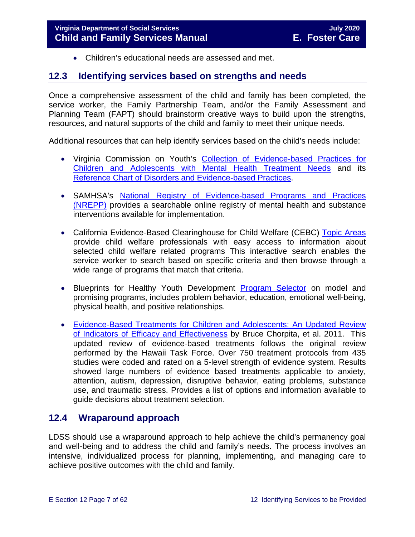<span id="page-6-0"></span>• Children's educational needs are assessed and met.

### <span id="page-6-2"></span>**12.3 Identifying services based on strengths and needs**

Once a comprehensive assessment of the child and family has been completed, the service worker, the Family Partnership Team, and/or the Family Assessment and Planning Team (FAPT) should brainstorm creative ways to build upon the strengths, resources, and natural supports of the child and family to meet their unique needs.

Additional resources that can help identify services based on the child's needs include:

- Virginia Commission on Youth's [Collection of Evidence-based Practices for](http://vcoy.virginia.gov/collection.asp)  [Children and Adolescents with Mental Health Treatment Needs](http://vcoy.virginia.gov/collection.asp) and its [Reference Chart of Disorders and Evidence-based Practices.](http://vcoy.virginia.gov/documents/collection/Reference_Chart.pdf)
- SAMHSA's [National Registry of Evidence-based Programs and Practices](https://www.samhsa.gov/capt/tools-learning-resources/finding-evidence-based-programs)  [\(NREPP\)](https://www.samhsa.gov/capt/tools-learning-resources/finding-evidence-based-programs) provides a searchable online registry of mental health and substance interventions available for implementation.
- California Evidence-Based Clearinghouse for Child Welfare (CEBC) Topic Areas provide child welfare professionals with easy access to information about selected child welfare related programs This interactive search enables the service worker to search based on specific criteria and then browse through a wide range of programs that match that criteria.
- Blueprints for Healthy Youth Development [Program Selector](http://www.blueprintsprograms.com/programSelector.php) on model and promising programs, includes problem behavior, education, emotional well-being, physical health, and positive relationships.
- [Evidence-Based Treatments for Children and Adolescents: An Updated Review](http://www.childfirst.ucla.edu/Chorpita%20et%20al%20(2011)-Evidence-Based%20Treatment%20for%20Children.pdf)  [of Indicators of Efficacy and Effectiveness](http://www.childfirst.ucla.edu/Chorpita%20et%20al%20(2011)-Evidence-Based%20Treatment%20for%20Children.pdf) by Bruce Chorpita, et al. 2011. This updated review of evidence-based treatments follows the original review performed by the Hawaii Task Force. Over 750 treatment protocols from 435 studies were coded and rated on a 5-level strength of evidence system. Results showed large numbers of evidence based treatments applicable to anxiety, attention, autism, depression, disruptive behavior, eating problems, substance use, and traumatic stress. Provides a list of options and information available to guide decisions about treatment selection.

# <span id="page-6-1"></span>**12.4 Wraparound approach**

LDSS should use a wraparound approach to help achieve the child's permanency goal and well-being and to address the child and family's needs. The process involves an intensive, individualized process for planning, implementing, and managing care to achieve positive outcomes with the child and family.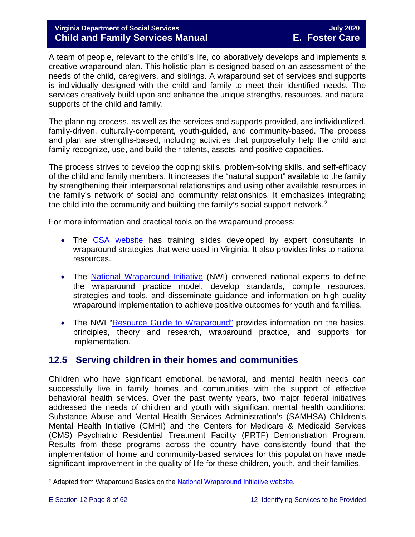#### **Virginia Department of Social Services July 2020 Child and Family Services Manual E. Foster Care**

A team of people, relevant to the child's life, collaboratively develops and implements a creative wraparound plan. This holistic plan is designed based on an assessment of the needs of the child, caregivers, and siblings. A wraparound set of services and supports is individually designed with the child and family to meet their identified needs. The services creatively build upon and enhance the unique strengths, resources, and natural supports of the child and family.

The planning process, as well as the services and supports provided, are individualized, family-driven, culturally-competent, youth-guided, and community-based. The process and plan are strengths-based, including activities that purposefully help the child and family recognize, use, and build their talents, assets, and positive capacities.

The process strives to develop the coping skills, problem-solving skills, and self-efficacy of the child and family members. It increases the "natural support" available to the family by strengthening their interpersonal relationships and using other available resources in the family's network of social and community relationships. It emphasizes integrating the child into the community and building the family's social support network.[2](#page-7-1)

For more information and practical tools on the wraparound process:

- The [CSA website](http://www.csa.virginia.gov/html/systems_of_care/Wraparound_strategies.cfm) has training slides developed by expert consultants in wraparound strategies that were used in Virginia. It also provides links to national resources.
- The [National Wraparound Initiative](http://www.nwi.pdx.edu/) (NWI) convened national experts to define the wraparound practice model, develop standards, compile resources, strategies and tools, and disseminate guidance and information on high quality wraparound implementation to achieve positive outcomes for youth and families.
- The NWI ["Resource Guide to Wraparound"](http://www.nwi.pdx.edu/NWI-book/) provides information on the basics, principles, theory and research, wraparound practice, and supports for implementation.

# <span id="page-7-0"></span>**12.5 Serving children in their homes and communities**

Children who have significant emotional, behavioral, and mental health needs can successfully live in family homes and communities with the support of effective behavioral health services. Over the past twenty years, two major federal initiatives addressed the needs of children and youth with significant mental health conditions: Substance Abuse and Mental Health Services Administration's (SAMHSA) Children's Mental Health Initiative (CMHI) and the Centers for Medicare & Medicaid Services (CMS) Psychiatric Residential Treatment Facility (PRTF) Demonstration Program. Results from these programs across the country have consistently found that the implementation of home and community-based services for this population have made significant improvement in the quality of life for these children, youth, and their families.

<span id="page-7-1"></span>t <sup>2</sup> Adapted from Wraparound Basics on the <u>National Wraparound Initiative website</u>.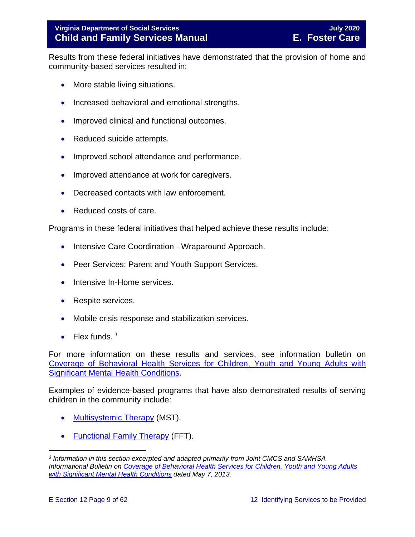Results from these federal initiatives have demonstrated that the provision of home and community-based services resulted in:

- More stable living situations.
- Increased behavioral and emotional strengths.
- Improved clinical and functional outcomes.
- Reduced suicide attempts.
- Improved school attendance and performance.
- Improved attendance at work for caregivers.
- Decreased contacts with law enforcement.
- Reduced costs of care.

Programs in these federal initiatives that helped achieve these results include:

- Intensive Care Coordination Wraparound Approach.
- Peer Services: Parent and Youth Support Services.
- Intensive In-Home services.
- Respite services.
- Mobile crisis response and stabilization services.
- Flex funds.  $3$

For more information on these results and services, see information bulletin on [Coverage of Behavioral Health Services for Children, Youth and Young Adults with](http://www.medicaid.gov/federal-policy-guidance/downloads/CIB-05-07-2013.pdf)  [Significant Mental Health Conditions.](http://www.medicaid.gov/federal-policy-guidance/downloads/CIB-05-07-2013.pdf)

Examples of evidence-based programs that have also demonstrated results of serving children in the community include:

- [Multisystemic](http://mstservices.com/index.php/what-is-mst) Therapy (MST).
- [Functional Family Therapy](http://fftllc.com/) (FFT).

<span id="page-8-0"></span>t *<sup>3</sup> Information in this section excerpted and adapted primarily from Joint CMCS and SAMHSA Informational Bulletin on [Coverage of Behavioral Health Services for Children, Youth and Young Adults](http://www.medicaid.gov/federal-policy-guidance/downloads/CIB-05-07-2013.pdf)  [with Significant Mental Health Conditions](http://www.medicaid.gov/federal-policy-guidance/downloads/CIB-05-07-2013.pdf) dated May 7, 2013.*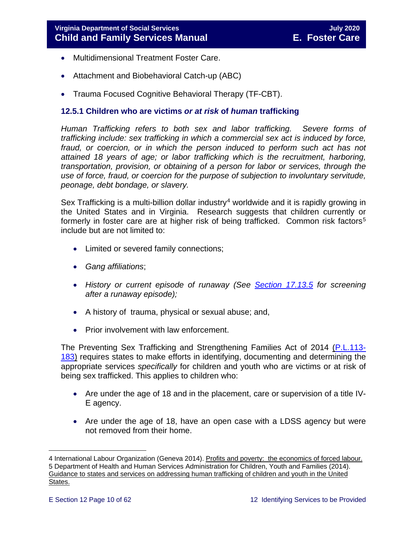- Multidimensional Treatment Foster Care.
- Attachment and Biobehavioral Catch-up (ABC)
- Trauma Focused Cognitive Behavioral Therapy (TF-CBT).

#### <span id="page-9-0"></span>**12.5.1 Children who are victims** *or at risk* **of** *human* **trafficking**

*Human Trafficking refers to both sex and labor trafficking. Severe forms of trafficking include: sex trafficking in which a commercial sex act is induced by force,*  fraud, or coercion, or in which the person induced to perform such act has not *attained 18 years of age; or labor trafficking which is the recruitment, harboring, transportation, provision, or obtaining of a person for labor or services, through the use of force, fraud, or coercion for the purpose of subjection to involuntary servitude, peonage, debt bondage, or slavery.*

Sex Trafficking is a multi-billion dollar industry<sup>[4](#page-9-1)</sup> worldwide and it is rapidly growing in the United States and in Virginia. Research suggests that children currently or formerly in foster care are at higher risk of being trafficked. Common risk factors<sup>[5](#page-9-2)</sup> include but are not limited to:

- Limited or severed family connections;
- *Gang affiliations*;
- *History or current episode of runaway (See [Section 17.13.5](https://fusion.dss.virginia.gov/Portals/%5bdfs%5d/Files/DFS%20Manuals/Foster%20Care%20Manuals/Foster%20Care%20Manual%2007-2020/Final%20Foster%20Care%20Manual%2007-2020/section_17_managing_foster_care_services.pdf#page=25) for screening after a runaway episode);*
- A history of trauma, physical or sexual abuse; and,
- Prior involvement with law enforcement.

The Preventing Sex Trafficking and Strengthening Families Act of 2014 [\(P.L.113-](https://www.congress.gov/113/plaws/publ183/PLAW-113publ183.pdf) [183\)](https://www.congress.gov/113/plaws/publ183/PLAW-113publ183.pdf) requires states to make efforts in identifying, documenting and determining the appropriate services *specifically* for children and youth who are victims or at risk of being sex trafficked. This applies to children who:

- Are under the age of 18 and in the placement, care or supervision of a title IV-E agency.
- Are under the age of 18, have an open case with a LDSS agency but were not removed from their home.

<span id="page-9-2"></span><span id="page-9-1"></span>ī 4 International Labour Organization (Geneva 2014). <u>Profits and poverty: the economics of forced labour.</u> 5 Department of Health and Human Services Administration for Children, Youth and Families (2014). Guidance to states and services on addressing human trafficking of children and youth in the United States.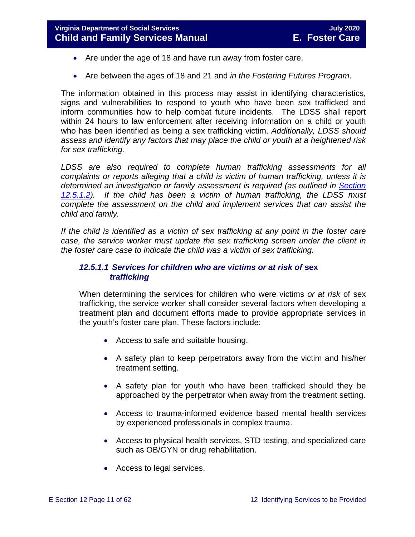- Are under the age of 18 and have run away from foster care.
- Are between the ages of 18 and 21 and *in the Fostering Futures Program*.

The information obtained in this process may assist in identifying characteristics, signs and vulnerabilities to respond to youth who have been sex trafficked and inform communities how to help combat future incidents. The LDSS shall report within 24 hours to law enforcement after receiving information on a child or youth who has been identified as being a sex trafficking victim. *Additionally, LDSS should assess and identify any factors that may place the child or youth at a heightened risk for sex trafficking.* 

*LDSS are also required to complete human trafficking assessments for all complaints or reports alleging that a child is victim of human trafficking, unless it is determined an investigation or family assessment is required (as outlined in [Section](#page-11-0)  [12.5.1.2\)](#page-11-0). If the child has been a victim of human trafficking, the LDSS must complete the assessment on the child and implement services that can assist the child and family.* 

*If the child is identified as a victim of sex trafficking at any point in the foster care case, the service worker must update the sex trafficking screen under the client in the foster care case to indicate the child was a victim of sex trafficking.*

#### *12.5.1.1 Services for children who are victims or at risk of* **sex** *trafficking*

When determining the services for children who were victims *or at risk* of sex trafficking, the service worker shall consider several factors when developing a treatment plan and document efforts made to provide appropriate services in the youth's foster care plan. These factors include:

- Access to safe and suitable housing.
- A safety plan to keep perpetrators away from the victim and his/her treatment setting.
- A safety plan for youth who have been trafficked should they be approached by the perpetrator when away from the treatment setting.
- Access to trauma-informed evidence based mental health services by experienced professionals in complex trauma.
- Access to physical health services, STD testing, and specialized care such as OB/GYN or drug rehabilitation.
- Access to legal services.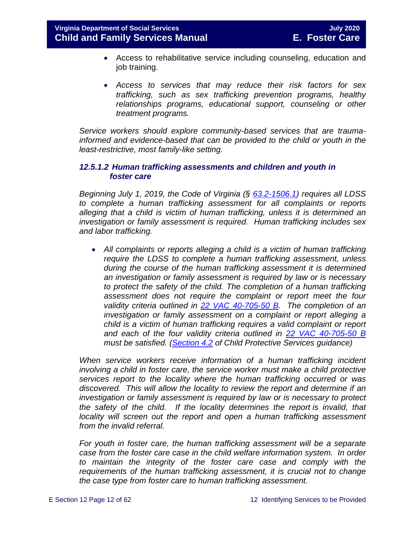- Access to rehabilitative service including counseling, education and job training.
- *Access to services that may reduce their risk factors for sex trafficking, such as sex trafficking prevention programs, healthy relationships programs, educational support, counseling or other treatment programs.*

*Service workers should explore community-based services that are traumainformed and evidence-based that can be provided to the child or youth in the least-restrictive, most family-like setting.*

#### <span id="page-11-0"></span>*12.5.1.2 Human trafficking assessments and children and youth in foster care*

*Beginning July 1, 2019, the Code of Virginia (§ [63.2-1506.1\)](https://law.lis.virginia.gov/vacode/63.2-1506.1/) requires all LDSS to complete a human trafficking assessment for all complaints or reports alleging that a child is victim of human trafficking, unless it is determined an investigation or family assessment is required. Human trafficking includes sex and labor trafficking.*

• *All complaints or reports alleging a child is a victim of human trafficking require the LDSS to complete a human trafficking assessment, unless during the course of the human trafficking assessment it is determined an investigation or family assessment is required by law or is necessary to protect the safety of the child. The completion of a human trafficking assessment does not require the complaint or report meet the four validity criteria outlined in [22 VAC 40-705-50 B.](https://law.lis.virginia.gov/admincode/title22/agency40/chapter705/section50/) The completion of an investigation or family assessment on a complaint or report alleging a child is a victim of human trafficking requires a valid complaint or report and each of the four validity criteria outlined in [22 VAC 40-705-50 B](https://law.lis.virginia.gov/admincode/title22/agency40/chapter705/section50/) must be satisfied. [\(Section 4.2](https://fusion.dss.virginia.gov/Portals/%5Bdfs%5D/Files/DFS%20Manuals/CPS%20Manuals/Manual--2020/section_4_assessments_investigations%20July%202020.pdf) of Child Protective Services guidance)*

When service workers receive information of a human trafficking incident *involving a child in foster care, the service worker must make a child protective services report to the locality where the human trafficking occurred or was discovered. This will allow the locality to review the report and determine if an investigation or family assessment is required by law or is necessary to protect the safety of the child. If the locality determines the report is invalid, that locality will screen out the report and open a human trafficking assessment from the invalid referral.*

*For youth in foster care, the human trafficking assessment will be a separate case from the foster care case in the child welfare information system. In order to maintain the integrity of the foster care case and comply with the requirements of the human trafficking assessment, it is crucial not to change the case type from foster care to human trafficking assessment.*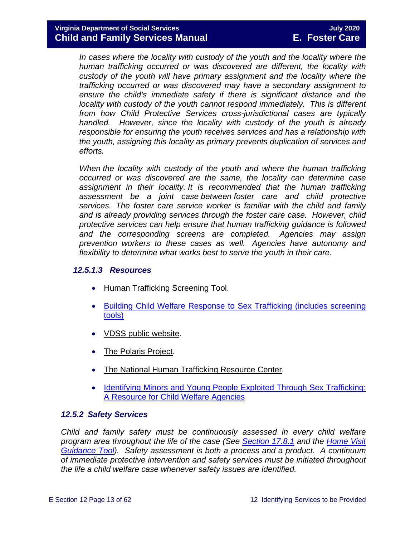*In cases where the locality with custody of the youth and the locality where the human trafficking occurred or was discovered are different, the locality with custody of the youth will have primary assignment and the locality where the trafficking occurred or was discovered may have a secondary assignment to ensure the child's immediate safety if there is significant distance and the locality with custody of the youth cannot respond immediately. This is different from how Child Protective Services cross-jurisdictional cases are typically handled. However, since the locality with custody of the youth is already responsible for ensuring the youth receives services and has a relationship with the youth, assigning this locality as primary prevents duplication of services and efforts.*

*When the locality with custody of the youth and where the human trafficking occurred or was discovered are the same, the locality can determine case assignment in their locality. It is recommended that the human trafficking assessment be a joint case between foster care and child protective services. The foster care service worker is familiar with the child and family and is already providing services through the foster care case. However, child protective services can help ensure that human trafficking guidance is followed and the corresponding screens are completed. Agencies may assign prevention workers to these cases as well. Agencies have autonomy and flexibility to determine what works best to serve the youth in their care.*

#### *12.5.1.3 Resources*

- [Human Trafficking Screening Tool.](http://centerforchildwelfare.fmhi.usf.edu/kb/policymemos/HT_ScreeningTool_FPTraining.pdf)
- [Building Child Welfare Response to Sex Trafficking \(includes screening](http://www.luc.edu/media/lucedu/chrc/pdfs/BCWRHandbook2011.pdf)  [tools\)](http://www.luc.edu/media/lucedu/chrc/pdfs/BCWRHandbook2011.pdf)
- [VDSS public website.](http://www.dss.virginia.gov/family/fc/index.cgi)
- [The Polaris Project.](http://www.polarisproject.org/about-us/overview)
- [The National Human Trafficking Resource Center.](http://www.traffickingresourcecenter.org/?gclid=CIi1wZa578cCFdQYHwoda9cBkA)
- [Identifying Minors and Young People Exploited Through Sex Trafficking:](https://library.childwelfare.gov/cwig/ws/library/docs/capacity/Blob/106060.pdf?w=NATIVE(%27SIMPLE_SRCH+ph+is+%27%27Identifying+Minors+and+Young+People+Exploited+Through+Sex+Trafficking:+A+Resource+for+Child+Welfare+Agencies%27%27%27)&upp=0&order=native(%27year/Descend%27)&rpp=25&r=1&m=1)  [A Resource for Child Welfare Agencies](https://library.childwelfare.gov/cwig/ws/library/docs/capacity/Blob/106060.pdf?w=NATIVE(%27SIMPLE_SRCH+ph+is+%27%27Identifying+Minors+and+Young+People+Exploited+Through+Sex+Trafficking:+A+Resource+for+Child+Welfare+Agencies%27%27%27)&upp=0&order=native(%27year/Descend%27)&rpp=25&r=1&m=1)

#### <span id="page-12-0"></span>*12.5.2 Safety Services*

*Child and family safety must be continuously assessed in every child welfare program area throughout the life of the case (See [Section 17.8.1](https://fusion.dss.virginia.gov/Portals/%5bdfs%5d/Files/DFS%20Manuals/Foster%20Care%20Manuals/Foster%20Care%20Manual%2007-2020/Final%20Foster%20Care%20Manual%2007-2020/section_17_managing_foster_care_services.pdf#page=14) and the [Home Visit](https://fusion.dss.virginia.gov/Portals/%5Bdfs%5D/Files/Foster%20Care/Job%20Aids%20%26%20Resources/Monthly%20Worker%20Visit%20Checklist.pdf)  [Guidance Tool\)](https://fusion.dss.virginia.gov/Portals/%5Bdfs%5D/Files/Foster%20Care/Job%20Aids%20%26%20Resources/Monthly%20Worker%20Visit%20Checklist.pdf). Safety assessment is both a process and a product. A continuum of immediate protective intervention and safety services must be initiated throughout the life a child welfare case whenever safety issues are identified.*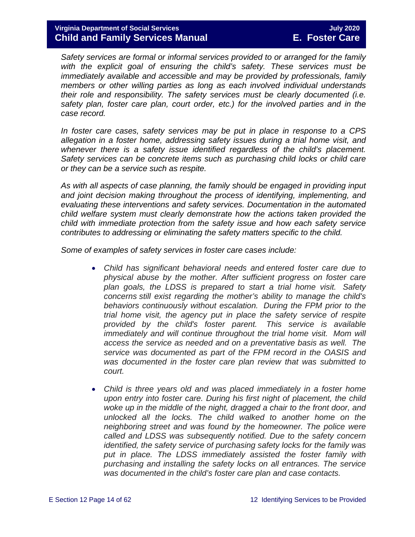*Safety services are formal or informal services provided to or arranged for the family with the explicit goal of ensuring the child's safety. These services must be immediately available and accessible and may be provided by professionals, family members or other willing parties as long as each involved individual understands their role and responsibility. The safety services must be clearly documented (i.e. safety plan, foster care plan, court order, etc.) for the involved parties and in the case record.* 

*In foster care cases, safety services may be put in place in response to a CPS allegation in a foster home, addressing safety issues during a trial home visit, and whenever there is a safety issue identified regardless of the child's placement. Safety services can be concrete items such as purchasing child locks or child care or they can be a service such as respite.* 

*As with all aspects of case planning, the family should be engaged in providing input and joint decision making throughout the process of identifying, implementing, and evaluating these interventions and safety services. Documentation in the automated child welfare system must clearly demonstrate how the actions taken provided the child with immediate protection from the safety issue and how each safety service contributes to addressing or eliminating the safety matters specific to the child.*

*Some of examples of safety services in foster care cases include:*

- *Child has significant behavioral needs and entered foster care due to physical abuse by the mother. After sufficient progress on foster care plan goals, the LDSS is prepared to start a trial home visit. Safety concerns still exist regarding the mother's ability to manage the child's behaviors continuously without escalation. During the FPM prior to the trial home visit, the agency put in place the safety service of respite provided by the child's foster parent. This service is available immediately and will continue throughout the trial home visit. Mom will access the service as needed and on a preventative basis as well. The service was documented as part of the FPM record in the OASIS and was documented in the foster care plan review that was submitted to court.*
- *Child is three years old and was placed immediately in a foster home upon entry into foster care. During his first night of placement, the child woke up in the middle of the night, dragged a chair to the front door, and unlocked all the locks. The child walked to another home on the neighboring street and was found by the homeowner. The police were called and LDSS was subsequently notified. Due to the safety concern identified, the safety service of purchasing safety locks for the family was put in place. The LDSS immediately assisted the foster family with purchasing and installing the safety locks on all entrances. The service was documented in the child's foster care plan and case contacts.*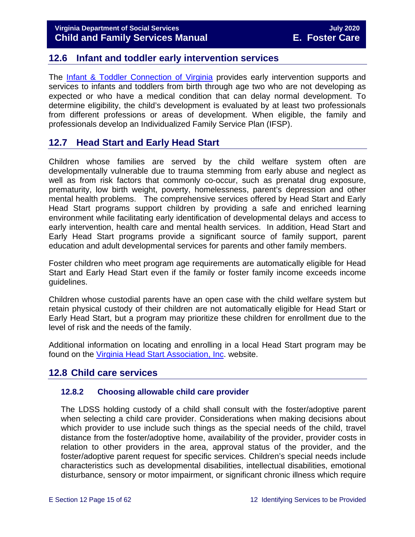### <span id="page-14-0"></span>**12.6 Infant and toddler early intervention services**

The [Infant & Toddler Connection of Virginia](http://www.infantva.org/fam-SupportServices.htm) provides early intervention supports and services to infants and toddlers from birth through age two who are not developing as expected or who have a medical condition that can delay normal development. To determine eligibility, the child's development is evaluated by at least two professionals from different professions or areas of development. When eligible, the family and professionals develop an Individualized Family Service Plan (IFSP).

# <span id="page-14-1"></span>**12.7 Head Start and Early Head Start**

Children whose families are served by the child welfare system often are developmentally vulnerable due to trauma stemming from early abuse and neglect as well as from risk factors that commonly co-occur, such as prenatal drug exposure, prematurity, low birth weight, poverty, homelessness, parent's depression and other mental health problems. The comprehensive services offered by Head Start and Early Head Start programs support children by providing a safe and enriched learning environment while facilitating early identification of developmental delays and access to early intervention, health care and mental health services. In addition, Head Start and Early Head Start programs provide a significant source of family support, parent education and adult developmental services for parents and other family members.

Foster children who meet program age requirements are automatically eligible for Head Start and Early Head Start even if the family or foster family income exceeds income guidelines.

Children whose custodial parents have an open case with the child welfare system but retain physical custody of their children are not automatically eligible for Head Start or Early Head Start, but a program may prioritize these children for enrollment due to the level of risk and the needs of the family.

Additional information on locating and enrolling in a local Head Start program may be found on the [Virginia Head Start Association, Inc.](http://www.headstartva.org/index.php) website.

### <span id="page-14-2"></span>**12.8 Child care services**

#### <span id="page-14-3"></span>**12.8.2 Choosing allowable child care provider**

The LDSS holding custody of a child shall consult with the foster/adoptive parent when selecting a child care provider. Considerations when making decisions about which provider to use include such things as the special needs of the child, travel distance from the foster/adoptive home, availability of the provider, provider costs in relation to other providers in the area, approval status of the provider, and the foster/adoptive parent request for specific services. Children's special needs include characteristics such as developmental disabilities, intellectual disabilities, emotional disturbance, sensory or motor impairment, or significant chronic illness which require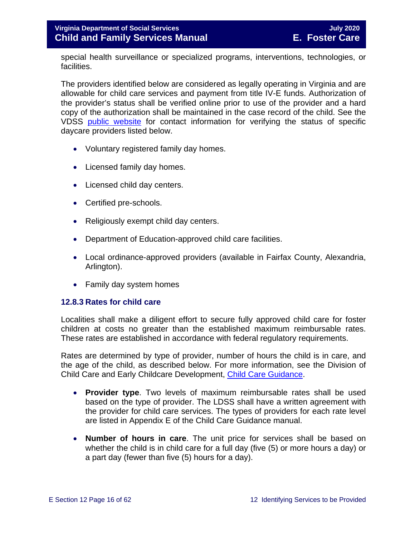special health surveillance or specialized programs, interventions, technologies, or facilities.

The providers identified below are considered as legally operating in Virginia and are allowable for child care services and payment from title IV-E funds. Authorization of the provider's status shall be verified online prior to use of the provider and a hard copy of the authorization shall be maintained in the case record of the child. See the VDSS [public website](http://www.dss.virginia.gov/family/cc/index.cgi) for contact information for verifying the status of specific daycare providers listed below.

- Voluntary registered family day homes.
- Licensed family day homes.
- Licensed child day centers.
- Certified pre-schools.
- Religiously exempt child day centers.
- Department of Education-approved child care facilities.
- Local ordinance-approved providers (available in Fairfax County, Alexandria, Arlington).
- Family day system homes

#### <span id="page-15-0"></span>**12.8.3 Rates for child care**

Localities shall make a diligent effort to secure fully approved child care for foster children at costs no greater than the established maximum reimbursable rates. These rates are established in accordance with federal regulatory requirements.

Rates are determined by type of provider, number of hours the child is in care, and the age of the child, as described below. For more information, see the Division of Child Care and Early Childcare Development, [Child Care Guidance.](https://fusion.dss.virginia.gov/ccecd/CCECD-Home/Child-Care-Subsidy-Program/Program-Guidance)

- **Provider type**. Two levels of maximum reimbursable rates shall be used based on the type of provider. The LDSS shall have a written agreement with the provider for child care services. The types of providers for each rate level are listed in Appendix E of the Child Care Guidance manual.
- **Number of hours in care**. The unit price for services shall be based on whether the child is in child care for a full day (five (5) or more hours a day) or a part day (fewer than five (5) hours for a day).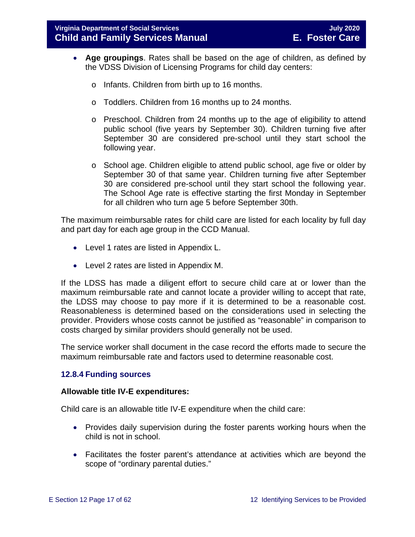- **Age groupings**. Rates shall be based on the age of children, as defined by the VDSS Division of Licensing Programs for child day centers:
	- o Infants. Children from birth up to 16 months.
	- o Toddlers. Children from 16 months up to 24 months.
	- o Preschool. Children from 24 months up to the age of eligibility to attend public school (five years by September 30). Children turning five after September 30 are considered pre-school until they start school the following year.
	- o School age. Children eligible to attend public school, age five or older by September 30 of that same year. Children turning five after September 30 are considered pre-school until they start school the following year. The School Age rate is effective starting the first Monday in September for all children who turn age 5 before September 30th.

The maximum reimbursable rates for child care are listed for each locality by full day and part day for each age group in the CCD Manual.

- Level 1 rates are listed in Appendix L.
- Level 2 rates are listed in Appendix M.

If the LDSS has made a diligent effort to secure child care at or lower than the maximum reimbursable rate and cannot locate a provider willing to accept that rate, the LDSS may choose to pay more if it is determined to be a reasonable cost. Reasonableness is determined based on the considerations used in selecting the provider. Providers whose costs cannot be justified as "reasonable" in comparison to costs charged by similar providers should generally not be used.

The service worker shall document in the case record the efforts made to secure the maximum reimbursable rate and factors used to determine reasonable cost.

#### <span id="page-16-0"></span>**12.8.4 Funding sources**

#### **Allowable title IV-E expenditures:**

Child care is an allowable title IV-E expenditure when the child care:

- Provides daily supervision during the foster parents working hours when the child is not in school.
- Facilitates the foster parent's attendance at activities which are beyond the scope of "ordinary parental duties."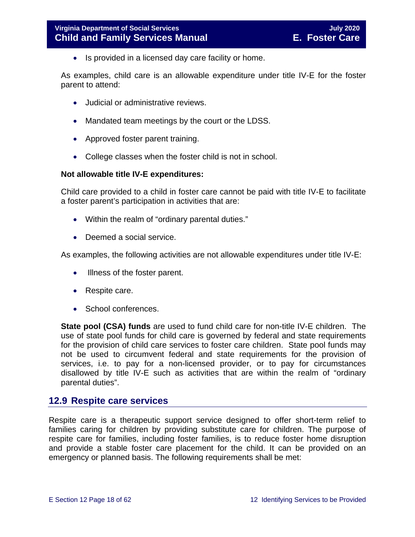• Is provided in a licensed day care facility or home.

As examples, child care is an allowable expenditure under title IV-E for the foster parent to attend:

- Judicial or administrative reviews.
- Mandated team meetings by the court or the LDSS.
- Approved foster parent training.
- College classes when the foster child is not in school.

#### **Not allowable title IV-E expenditures:**

Child care provided to a child in foster care cannot be paid with title IV-E to facilitate a foster parent's participation in activities that are:

- Within the realm of "ordinary parental duties."
- Deemed a social service.

As examples, the following activities are not allowable expenditures under title IV-E:

- Illness of the foster parent.
- Respite care.
- School conferences.

**State pool (CSA) funds** are used to fund child care for non-title IV-E children. The use of state pool funds for child care is governed by federal and state requirements for the provision of child care services to foster care children. State pool funds may not be used to circumvent federal and state requirements for the provision of services, i.e. to pay for a non-licensed provider, or to pay for circumstances disallowed by title IV-E such as activities that are within the realm of "ordinary parental duties".

#### <span id="page-17-0"></span>**12.9 Respite care services**

Respite care is a therapeutic support service designed to offer short-term relief to families caring for children by providing substitute care for children. The purpose of respite care for families, including foster families, is to reduce foster home disruption and provide a stable foster care placement for the child. It can be provided on an emergency or planned basis. The following requirements shall be met: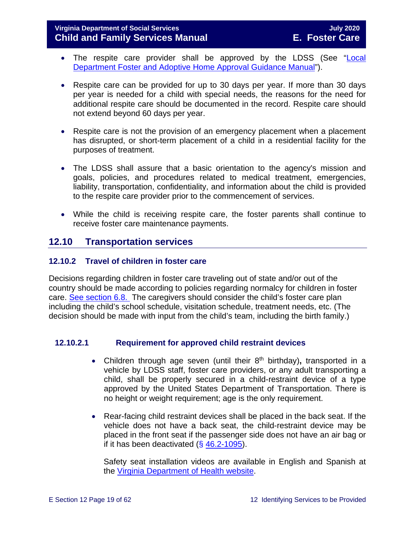#### **Virginia Department of Social Services July 2020 Child and Family Services Manual**

- The respite care provider shall be approved by the LDSS (See "Local Department [Foster and Adoptive Home Approval Guidance Manual"](https://fusion.dss.virginia.gov/dfs/DFS-Home/Family-Recruitment/Family-Recruitment-Guidance)).
- Respite care can be provided for up to 30 days per year. If more than 30 days per year is needed for a child with special needs, the reasons for the need for additional respite care should be documented in the record. Respite care should not extend beyond 60 days per year.
- Respite care is not the provision of an emergency placement when a placement has disrupted, or short-term placement of a child in a residential facility for the purposes of treatment.
- The LDSS shall assure that a basic orientation to the agency's mission and goals, policies, and procedures related to medical treatment, emergencies, liability, transportation, confidentiality, and information about the child is provided to the respite care provider prior to the commencement of services.
- While the child is receiving respite care, the foster parents shall continue to receive foster care maintenance payments.

# <span id="page-18-0"></span>**12.10 Transportation services**

#### <span id="page-18-1"></span>**12.10.2 Travel of children in foster care**

Decisions regarding children in foster care traveling out of state and/or out of the country should be made according to policies regarding normalcy for children in foster care. [See section 6.8.](https://fusion.dss.virginia.gov/Portals/%5bdfs%5d/Files/DFS%20Manuals/Foster%20Care%20Manuals/Foster%20Care%20Manual%2007-2020/Final%20Foster%20Care%20Manual%2007-2020/section_6_placement_to_achieve_permanency.pdf#page=28) The caregivers should consider the child's foster care plan including the child's school schedule, visitation schedule, treatment needs, etc. (The decision should be made with input from the child's team, including the birth family.)

#### **12.10.2.1 Requirement for approved child restraint devices**

- Children through age seven (until their 8<sup>th</sup> birthday), transported in a vehicle by LDSS staff, foster care providers, or any adult transporting a child, shall be properly secured in a child-restraint device of a type approved by the United States Department of Transportation. There is no height or weight requirement; age is the only requirement.
- Rear-facing child restraint devices shall be placed in the back seat. If the vehicle does not have a back seat, the child-restraint device may be placed in the front seat if the passenger side does not have an air bag or if it has been deactivated  $( $\S$  46.2-1095)$  $( $\S$  46.2-1095)$ .

Safety seat installation videos are available in English and Spanish at the [Virginia Department of Health website.](http://www.vahealth.org/injury/safetyseat/laws.htm)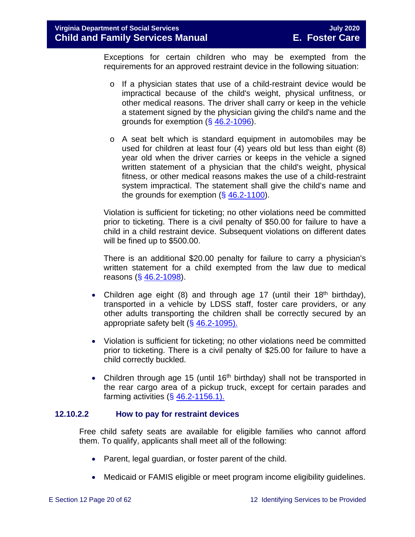Exceptions for certain children who may be exempted from the requirements for an approved restraint device in the following situation:

- o If a physician states that use of a child-restraint device would be impractical because of the child's weight, physical unfitness, or other medical reasons. The driver shall carry or keep in the vehicle a statement signed by the physician giving the child's name and the grounds for exemption (§ [46.2-1096\)](https://law.lis.virginia.gov/vacode/46.2-1096/).
- o A seat belt which is standard equipment in automobiles may be used for children at least four (4) years old but less than eight (8) year old when the driver carries or keeps in the vehicle a signed written statement of a physician that the child's weight, physical fitness, or other medical reasons makes the use of a child-restraint system impractical. The statement shall give the child's name and the grounds for exemption  $(\S 46.2-1100)$  $(\S 46.2-1100)$ .

Violation is sufficient for ticketing; no other violations need be committed prior to ticketing. There is a civil penalty of \$50.00 for failure to have a child in a child restraint device. Subsequent violations on different dates will be fined up to \$500.00.

There is an additional \$20.00 penalty for failure to carry a physician's written statement for a child exempted from the law due to medical reasons (§ [46.2-1098\)](https://law.lis.virginia.gov/vacode/46.2-1098/).

- Children age eight (8) and through age 17 (until their 18<sup>th</sup> birthday), transported in a vehicle by LDSS staff, foster care providers, or any other adults transporting the children shall be correctly secured by an appropriate safety belt  $(\S 46.2 - 1095)$ .
- Violation is sufficient for ticketing; no other violations need be committed prior to ticketing. There is a civil penalty of \$25.00 for failure to have a child correctly buckled.
- Children through age 15 (until 16<sup>th</sup> birthday) shall not be transported in the rear cargo area of a pickup truck, except for certain parades and farming activities  $( $\S$  46.2-1156.1)$ .

#### **12.10.2.2 How to pay for restraint devices**

Free child safety seats are available for eligible families who cannot afford them. To qualify, applicants shall meet all of the following:

- Parent, legal guardian, or foster parent of the child.
- Medicaid or FAMIS eligible or meet program [income eligibility guidelines.](http://www.vahealth.org/Injury/safetyseat/documents/2008/pdf/Income%20Guidelines%20Current.pdf)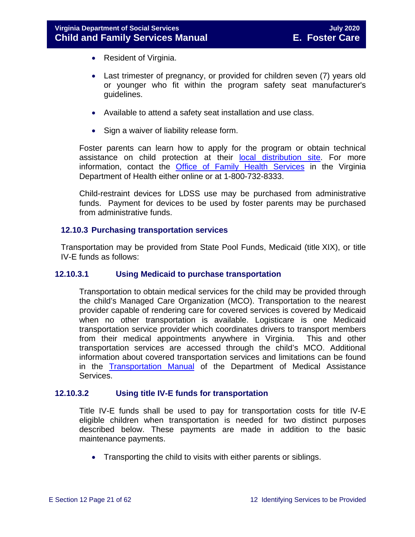- Resident of Virginia.
- Last trimester of pregnancy, or provided for children seven (7) years old or younger who fit within the program safety seat manufacturer's guidelines.
- Available to attend a safety seat installation and use class.
- Sign a waiver of liability release form.

Foster parents can learn how to apply for the program or obtain technical assistance on child protection at their [local distribution site.](http://www.vahealth.org/Injury/safetyseat/) For more information, contact the [Office of Family Health Services](http://www.vdh.virginia.gov/ofhs/) in the Virginia Department of Health either online or at 1-800-732-8333.

Child-restraint devices for LDSS use may be purchased from administrative funds. Payment for devices to be used by foster parents may be purchased from administrative funds.

#### <span id="page-20-0"></span>**12.10.3 Purchasing transportation services**

Transportation may be provided from State Pool Funds, Medicaid (title XIX), or title IV-E funds as follows:

#### **12.10.3.1 Using Medicaid to purchase transportation**

Transportation to obtain medical services for the child may be provided through the child's Managed Care Organization (MCO). Transportation to the nearest provider capable of rendering care for covered services is covered by Medicaid when no other transportation is available. Logisticare is one Medicaid transportation service provider which coordinates drivers to transport members from their medical appointments anywhere in Virginia. This and other transportation services are accessed through the child's MCO. Additional information about covered transportation services and limitations can be found in the [Transportation Manual](http://transportation.dmas.virginia.gov/Home.aspx) of the Department of Medical Assistance Services.

#### **12.10.3.2 Using title IV-E funds for transportation**

Title IV-E funds shall be used to pay for transportation costs for title IV-E eligible children when transportation is needed for two distinct purposes described below. These payments are made in addition to the basic maintenance payments.

• Transporting the child to visits with either parents or siblings.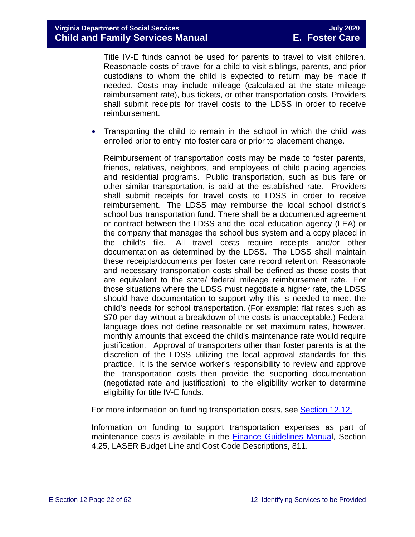Title IV-E funds cannot be used for parents to travel to visit children. Reasonable costs of travel for a child to visit siblings, parents, and prior custodians to whom the child is expected to return may be made if needed. Costs may include mileage (calculated at the state mileage reimbursement rate), bus tickets, or other transportation costs. Providers shall submit receipts for travel costs to the LDSS in order to receive reimbursement.

• Transporting the child to remain in the school in which the child was enrolled prior to entry into foster care or prior to placement change.

Reimbursement of transportation costs may be made to foster parents, friends, relatives, neighbors, and employees of child placing agencies and residential programs. Public transportation, such as bus fare or other similar transportation, is paid at the established rate. Providers shall submit receipts for travel costs to LDSS in order to receive reimbursement. The LDSS may reimburse the local school district's school bus transportation fund. There shall be a documented agreement or contract between the LDSS and the local education agency (LEA) or the company that manages the school bus system and a copy placed in the child's file. All travel costs require receipts and/or other documentation as determined by the LDSS. The LDSS shall maintain these receipts/documents per foster care record retention. Reasonable and necessary transportation costs shall be defined as those costs that are equivalent to the state/ federal mileage reimbursement rate. For those situations where the LDSS must negotiate a higher rate, the LDSS should have documentation to support why this is needed to meet the child's needs for school transportation. (For example: flat rates such as \$70 per day without a breakdown of the costs is unacceptable.) Federal language does not define reasonable or set maximum rates, however, monthly amounts that exceed the child's maintenance rate would require justification. Approval of transporters other than foster parents is at the discretion of the LDSS utilizing the local approval standards for this practice. It is the service worker's responsibility to review and approve the transportation costs then provide the supporting documentation (negotiated rate and justification) to the eligibility worker to determine eligibility for title IV-E funds.

For more information on funding transportation costs, see **Section 12.12.** 

Information on funding to support transportation expenses as part of maintenance costs is available in the [Finance Guidelines Manual](https://fusion.dss.virginia.gov/dof/DOF-Home/LOCAL-RESOURCES/Finance-Guidelines-Manual-LDSS), Section 4.25, LASER Budget Line and Cost Code Descriptions, 811.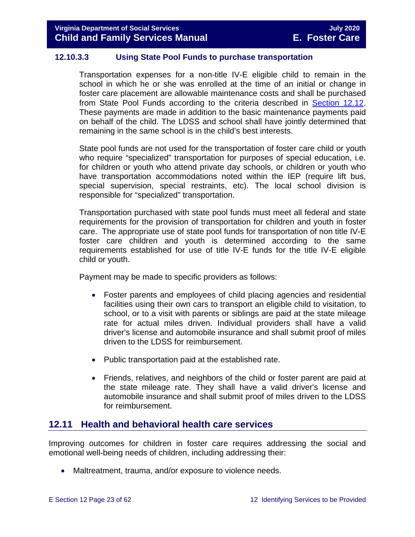#### **12.10.3.3 Using State Pool Funds to purchase transportation**

Transportation expenses for a non-title IV-E eligible child to remain in the school in which he or she was enrolled at the time of an initial or change in foster care placement are allowable maintenance costs and shall be purchased from State Pool Funds according to the criteria described in [Section 12.12.](#page-52-1) These payments are made in addition to the basic maintenance payments paid on behalf of the child. The LDSS and school shall have jointly determined that remaining in the same school is in the child's best interests.

State pool funds are not used for the transportation of foster care child or youth who require "specialized" transportation for purposes of special education, i.e. for children or youth who attend private day schools, or children or youth who have transportation accommodations noted within the IEP (require lift bus, special supervision, special restraints, etc). The local school division is responsible for "specialized" transportation.

Transportation purchased with state pool funds must meet all federal and state requirements for the provision of transportation for children and youth in foster care. The appropriate use of state pool funds for transportation of non title IV-E foster care children and youth is determined according to the same requirements established for use of title IV-E funds for the title IV-E eligible child or youth.

Payment may be made to specific providers as follows:

- Foster parents and employees of child placing agencies and residential facilities using their own cars to transport an eligible child to visitation, to school, or to a visit with parents or siblings are paid at the state mileage rate for actual miles driven. Individual providers shall have a valid driver's license and automobile insurance and shall submit proof of miles driven to the LDSS for reimbursement.
- Public transportation paid at the established rate.
- Friends, relatives, and neighbors of the child or foster parent are paid at the state mileage rate. They shall have a valid driver's license and automobile insurance and shall submit proof of miles driven to the LDSS for reimbursement.

### <span id="page-22-0"></span>**12.11 Health and behavioral health care services**

Improving outcomes for children in foster care requires addressing the social and emotional well-being needs of children, including addressing their:

• Maltreatment, trauma, and/or exposure to violence needs.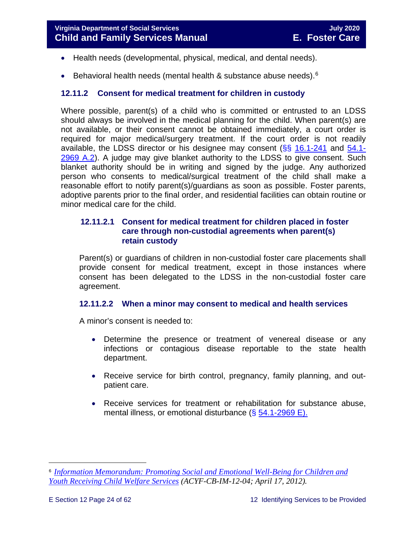- Health needs (developmental, physical, medical, and dental needs).
- Behavioral health needs (mental health & substance abuse needs).<sup>[6](#page-23-1)</sup>

#### <span id="page-23-0"></span>**12.11.2 Consent for medical treatment for children in custody**

Where possible, parent(s) of a child who is committed or entrusted to an LDSS should always be involved in the medical planning for the child. When parent(s) are not available, or their consent cannot be obtained immediately, a court order is required for major medical/surgery treatment. If the court order is not readily available, the LDSS director or his designee may consent  $(\S_{\mathbb{S}} 16.1-241)$  $(\S_{\mathbb{S}} 16.1-241)$  $(\S_{\mathbb{S}} 16.1-241)$  and  $54.1-$ [2969 A.2\)](https://law.lis.virginia.gov/vacode/54.1-2969/). A judge may give blanket authority to the LDSS to give consent. Such blanket authority should be in writing and signed by the judge. Any authorized person who consents to medical/surgical treatment of the child shall make a reasonable effort to notify parent(s)/guardians as soon as possible. Foster parents, adoptive parents prior to the final order, and residential facilities can obtain routine or minor medical care for the child.

#### <span id="page-23-2"></span>**12.11.2.1 Consent for medical treatment for children placed in foster care through non-custodial agreements when parent(s) retain custody**

Parent(s) or guardians of children in non-custodial foster care placements shall provide consent for medical treatment, except in those instances where consent has been delegated to the LDSS in the non-custodial foster care agreement.

#### **12.11.2.2 When a minor may consent to medical and health services**

A minor's consent is needed to:

- Determine the presence or treatment of venereal disease or any infections or contagious disease reportable to the state health department.
- Receive service for birth control, pregnancy, family planning, and outpatient care.
- Receive services for treatment or rehabilitation for substance abuse, mental illness, or emotional disturbance  $(\S 54.1 - 2969 E)$ .

<span id="page-23-1"></span>Ĩ. <sup>6</sup> *[Information Memorandum: Promoting Social and Emotional Well-Being for Children and](http://www.acf.hhs.gov/sites/default/files/cb/im1204.pdf)  [Youth Receiving Child Welfare Services](http://www.acf.hhs.gov/sites/default/files/cb/im1204.pdf) (ACYF-CB-IM-12-04; April 17, 2012).*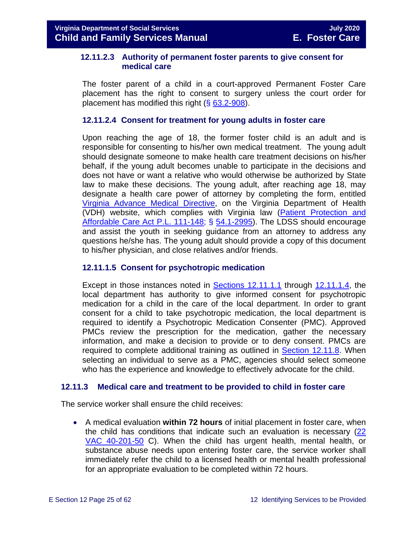#### **12.11.2.3 Authority of permanent foster parents to give consent for medical care**

The foster parent of a child in a court-approved Permanent Foster Care placement has the right to consent to surgery unless the court order for placement has modified this right  $(\S 63.2 - 908)$ .

#### <span id="page-24-1"></span>**12.11.2.4 Consent for treatment for young adults in foster care**

Upon reaching the age of 18, the former foster child is an adult and is responsible for consenting to his/her own medical treatment. The young adult should designate someone to make health care treatment decisions on his/her behalf, if the young adult becomes unable to participate in the decisions and does not have or want a relative who would otherwise be authorized by State law to make these decisions. The young adult, after reaching age 18, may designate a health care power of attorney by completing the form, entitled [Virginia Advance Medical Directive,](http://www.vdh.virginia.gov/OLC/documents/2008/pdfs/2005%20advanced%20directive%20form.pdf) on the Virginia Department of Health (VDH) website, which complies with Virginia law [\(Patient Protection and](http://www.gpo.gov/fdsys/pkg/PLAW-111publ148/pdf/PLAW-111publ148.pdf)  [Affordable Care Act P.L. 111-148;](http://www.gpo.gov/fdsys/pkg/PLAW-111publ148/pdf/PLAW-111publ148.pdf) § [54.1-2995\)](https://law.lis.virginia.gov/vacode/54.1-2995/). The LDSS should encourage and assist the youth in seeking guidance from an attorney to address any questions he/she has. The young adult should provide a copy of this document to his/her physician, and close relatives and/or friends.

#### **12.11.1.5 Consent for psychotropic medication**

Except in those instances noted in [Sections 12.11.1.1](#page-23-2) through [12.11.1.4,](#page-24-1) the local department has authority to give informed consent for psychotropic medication for a child in the care of the local department. In order to grant consent for a child to take psychotropic medication, the local department is required to identify a Psychotropic Medication Consenter (PMC). Approved PMCs review the prescription for the medication, gather the necessary information, and make a decision to provide or to deny consent. PMCs are required to complete additional training as outlined in [Section 12.11.8.](#page-48-0) When selecting an individual to serve as a PMC, agencies should select someone who has the experience and knowledge to effectively advocate for the child.

#### <span id="page-24-0"></span>**12.11.3 Medical care and treatment to be provided to child in foster care**

The service worker shall ensure the child receives:

• A medical evaluation **within 72 hours** of initial placement in foster care, when the child has conditions that indicate such an evaluation is necessary [\(22](http://leg1.state.va.us/cgi-bin/legp504.exe?000+reg+22VAC40-201-50)  [VAC 40-201-50](http://leg1.state.va.us/cgi-bin/legp504.exe?000+reg+22VAC40-201-50) C). When the child has urgent health, mental health, or substance abuse needs upon entering foster care, the service worker shall immediately refer the child to a licensed health or mental health professional for an appropriate evaluation to be completed within 72 hours.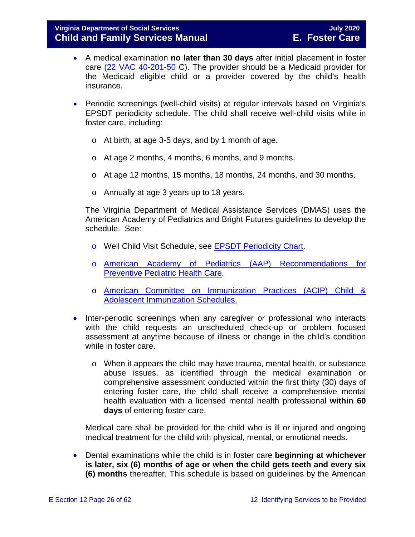- A medical examination **no later than 30 days** after initial placement in foster care [\(22 VAC 40-201-50](http://leg1.state.va.us/cgi-bin/legp504.exe?000+reg+22VAC40-201-50) C). The provider should be a Medicaid provider for the Medicaid eligible child or a provider covered by the child's health insurance.
- Periodic screenings (well-child visits) at regular intervals based on Virginia's EPSDT periodicity schedule. The child shall receive well-child visits while in foster care, including:
	- o At birth, at age 3-5 days, and by 1 month of age.
	- o At age 2 months, 4 months, 6 months, and 9 months.
	- o At age 12 months, 15 months, 18 months, 24 months, and 30 months.
	- o Annually at age 3 years up to 18 years.

The Virginia Department of Medical Assistance Services (DMAS) uses the American Academy of Pediatrics and Bright Futures guidelines to develop the schedule. See:

- o Well Child Visit Schedule, see [EPSDT Periodicity Chart.](http://www.dmas.virginia.gov/Content_atchs/mch/mch-epsdt_poi2.pdf)
- o [American Academy of Pediatrics \(AAP\) Recommendations for](http://pediatrics.aappublications.org/cgi/data/120/6/1376/DC1/1)  [Preventive Pediatric Health Care.](http://pediatrics.aappublications.org/cgi/data/120/6/1376/DC1/1)
- o [American Committee on Immunization Practices \(ACIP\) Child &](http://www.cdc.gov/vaccines/schedules/index.html)  [Adolescent Immunization Schedules.](http://www.cdc.gov/vaccines/schedules/index.html)
- Inter-periodic screenings when any caregiver or professional who interacts with the child requests an unscheduled check-up or problem focused assessment at anytime because of illness or change in the child's condition while in foster care.
	- o When it appears the child may have trauma, mental health, or substance abuse issues, as identified through the medical examination or comprehensive assessment conducted within the first thirty (30) days of entering foster care, the child shall receive a comprehensive mental health evaluation with a licensed mental health professional **within 60 days** of entering foster care.

Medical care shall be provided for the child who is ill or injured and ongoing medical treatment for the child with physical, mental, or emotional needs.

• Dental examinations while the child is in foster care **beginning at whichever is later, six (6) months of age or when the child gets teeth and every six (6) months** thereafter. This schedule is based on guidelines by the American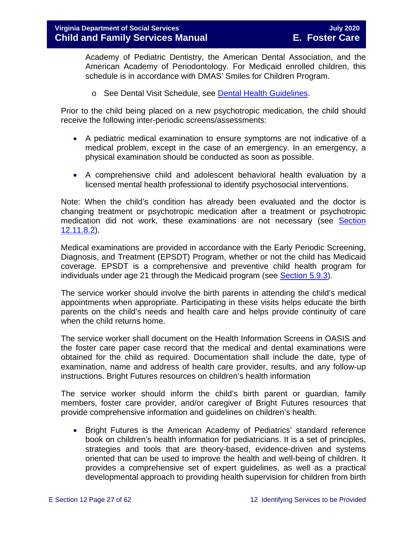Academy of Pediatric Dentistry, the American Dental Association, and the American Academy of Periodontology. For Medicaid enrolled children, this schedule is in accordance with DMAS' Smiles for Children Program.

o See Dental Visit Schedule, see [Dental Health Guidelines.](http://www.dmas.virginia.gov/Content_atchs/dnt/dnt-schdl.pdf)

Prior to the child being placed on a new psychotropic medication, the child should receive the following inter-periodic screens/assessments:

- A pediatric medical examination to ensure symptoms are not indicative of a medical problem, except in the case of an emergency. In an emergency, a physical examination should be conducted as soon as possible.
- A comprehensive child and adolescent behavioral health evaluation by a licensed mental health professional to identify psychosocial interventions.

Note: When the child's condition has already been evaluated and the doctor is changing treatment or psychotropic medication after a treatment or psychotropic medication did not work, these examinations are not necessary (see [Section](#page-45-0)  [12.11.8.2\)](#page-45-0).

Medical examinations are provided in accordance with the Early Periodic Screening, Diagnosis, and Treatment (EPSDT) Program, whether or not the child has Medicaid coverage. EPSDT is a comprehensive and preventive child health program for individuals under age 21 through the Medicaid program (see [Section 5.9.3\)](https://fusion.dss.virginia.gov/Portals/%5bdfs%5d/Files/DFS%20Manuals/Foster%20Care%20Manuals/Foster%20Care%20Manual%2007-2020/Final%20Foster%20Care%20Manual%2007-2020/section_5_conducting_child_and_family_assessment.pdf#page=21).

The service worker should involve the birth parents in attending the child's medical appointments when appropriate. Participating in these visits helps educate the birth parents on the child's needs and health care and helps provide continuity of care when the child returns home.

The service worker shall document on the Health Information Screens in OASIS and the foster care paper case record that the medical and dental examinations were obtained for the child as required. Documentation shall include the date, type of examination, name and address of health care provider, results, and any follow-up instructions. Bright Futures resources on children's health information

The service worker should inform the child's birth parent or guardian, family members, foster care provider, and/or caregiver of Bright Futures resources that provide comprehensive information and guidelines on children's health.

• Bright Futures is the American Academy of Pediatrics' standard reference book on children's health information for pediatricians. It is a set of principles, strategies and tools that are theory-based, evidence-driven and systems oriented that can be used to improve the health and well-being of children. It provides a comprehensive set of expert guidelines, as well as a practical developmental approach to providing health supervision for children from birth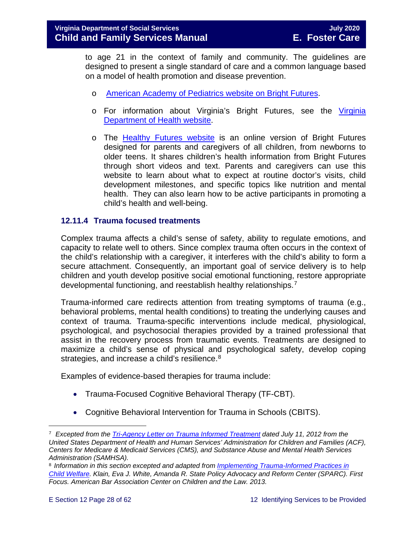to age 21 in the context of family and community. The guidelines are designed to present a single standard of care and a common language based on a model of health promotion and disease prevention.

- o [American Academy of Pediatrics website on Bright Futures.](https://brightfutures.aap.org/Pages/default.aspx)
- o For information about Virginia's Bright Futures, see the Virginia [Department of Health website.](http://www.vahealth.org/Brightfutures/index.htm)
- o The [Healthy Futures website](https://www.vdh.virginia.gov/brightfutures/default.html) is an online version of Bright Futures designed for parents and caregivers of all children, from newborns to older teens. It shares children's health information from Bright Futures through short videos and text. Parents and caregivers can use this website to learn about what to expect at routine doctor's visits, child development milestones, and specific topics like nutrition and mental health. They can also learn how to be active participants in promoting a child's health and well-being.

#### <span id="page-27-3"></span><span id="page-27-0"></span>**12.11.4 Trauma focused treatments**

Complex trauma affects a child's sense of safety, ability to regulate emotions, and capacity to relate well to others. Since complex trauma often occurs in the context of the child's relationship with a caregiver, it interferes with the child's ability to form a secure attachment. Consequently, an important goal of service delivery is to help children and youth develop positive social emotional functioning, restore appropriate developmental functioning, and reestablish healthy relationships.[7](#page-27-1)

Trauma-informed care redirects attention from treating symptoms of trauma (e.g., behavioral problems, mental health conditions) to treating the underlying causes and context of trauma. Trauma-specific interventions include medical, physiological, psychological, and psychosocial therapies provided by a trained professional that assist in the recovery process from traumatic events. Treatments are designed to maximize a child's sense of physical and psychological safety, develop coping strategies, and increase a child's resilience.<sup>[8](#page-27-2)</sup>

Examples of evidence-based therapies for trauma include:

- Trauma-Focused Cognitive Behavioral Therapy (TF-CBT).
- Cognitive Behavioral Intervention for Trauma in Schools (CBITS).

<span id="page-27-1"></span>Ĩ. <sup>7</sup> *Excepted from the [Tri-Agency Letter on Trauma Informed Treatment](http://www.medicaid.gov/Federal-Policy-Guidance/Downloads/SMD-13-07-11.pdf) dated July 11, 2012 from the United States Department of Health and Human Services' Administration for Children and Families (ACF), Centers for Medicare & Medicaid Services (CMS), and Substance Abuse and Mental Health Services Administration (SAMHSA).*

<span id="page-27-2"></span><sup>8</sup> *Information in this section excepted and adapted from [Implementing Trauma-Informed Practices in](http://childwelfaresparc.org/wp-content/uploads/2013/11/Implementing-Trauma-Informed-Practices.pdf)  [Child Welfare.](http://childwelfaresparc.org/wp-content/uploads/2013/11/Implementing-Trauma-Informed-Practices.pdf) Klain, Eva J. White, Amanda R. State Policy Advocacy and Reform Center (SPARC). First Focus. American Bar Association Center on Children and the Law. 2013.*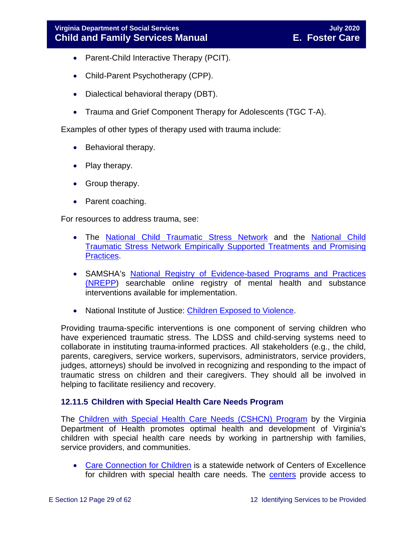- Parent-Child Interactive Therapy (PCIT).
- Child-Parent Psychotherapy (CPP).
- Dialectical behavioral therapy (DBT).
- Trauma and Grief Component Therapy for Adolescents (TGC T-A).

Examples of other types of therapy used with trauma include:

- Behavioral therapy.
- Play therapy.
- Group therapy.
- Parent coaching.

For resources to address trauma, see:

- The [National Child Traumatic Stress Network](http://www.nctsn.org/) and the [National Child](http://www.nctsn.org/resources/topics/treatments-that-work/promising-practices)  [Traumatic Stress Network Empirically Supported Treatments and Promising](http://www.nctsn.org/resources/topics/treatments-that-work/promising-practices)  [Practices.](http://www.nctsn.org/resources/topics/treatments-that-work/promising-practices)
- SAMSHA's [National Registry of Evidence-based Programs and Practices](https://www.samhsa.gov/nrepp)  [\(NREPP\)](https://www.samhsa.gov/nrepp) searchable online registry of mental health and substance interventions available for implementation.
- National Institute of Justice: [Children Exposed to Violence.](https://www.crimesolutions.gov/TopicDetails.aspx?ID=60)

Providing trauma-specific interventions is one component of serving children who have experienced traumatic stress. The LDSS and child-serving systems need to collaborate in instituting trauma-informed practices. All stakeholders (e.g., the child, parents, caregivers, service workers, supervisors, administrators, service providers, judges, attorneys) should be involved in recognizing and responding to the impact of traumatic stress on children and their caregivers. They should all be involved in helping to facilitate resiliency and recovery.

#### <span id="page-28-0"></span>**12.11.5 Children with Special Health Care Needs Program**

The [Children with Special Health Care Needs \(CSHCN\) Program](http://www.vahealth.org/specialchildren/) by the Virginia Department of Health promotes optimal health and development of Virginia's children with special health care needs by working in partnership with families, service providers, and communities.

• [Care Connection for Children](http://www.vdh.virginia.gov/ofhs/childandfamily/childhealth/cshcn/care.htm) is a statewide network of Centers of Excellence for children with special health care needs. The [centers](http://www.vdh.virginia.gov/ofhs/childandfamily/childhealth/cshcn/documents/2012/pdf/City-County%20Map%20oct-10%20CCC%20Centers%20with%20phone%20numbers.pdf) provide access to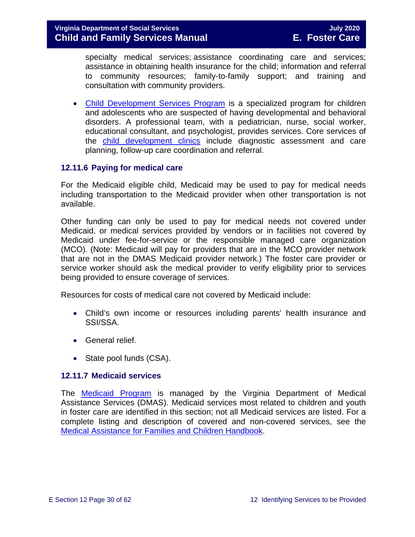specialty medical services; assistance coordinating care and services; assistance in obtaining health insurance for the child; information and referral to community resources; family-to-family support; and training and consultation with community providers.

• [Child Development Services Program](http://www.vdh.virginia.gov/ofhs/childandfamily/childhealth/cshcn/developmentServices.htm) is a specialized program for children and adolescents who are suspected of having developmental and behavioral disorders. A professional team, with a pediatrician, nurse, social worker, educational consultant, and psychologist, provides services. Core services of the [child development clinics](http://www.vdh.virginia.gov/ofhs/childandfamily/childhealth/cshcn/cdsClinics.htm) include diagnostic assessment and care planning, follow-up care coordination and referral.

#### <span id="page-29-0"></span>**12.11.6 Paying for medical care**

For the Medicaid eligible child, Medicaid may be used to pay for medical needs including transportation to the Medicaid provider when other transportation is not available.

Other funding can only be used to pay for medical needs not covered under Medicaid, or medical services provided by vendors or in facilities not covered by Medicaid under fee-for-service or the responsible managed care organization (MCO). (Note: Medicaid will pay for providers that are in the MCO provider network that are not in the DMAS Medicaid provider network.) The foster care provider or service worker should ask the medical provider to verify eligibility prior to services being provided to ensure coverage of services.

Resources for costs of medical care not covered by Medicaid include:

- Child's own income or resources including parents' health insurance and SSI/SSA.
- General relief.
- State pool funds (CSA).

#### <span id="page-29-1"></span>**12.11.7 Medicaid services**

The **[Medicaid Program](http://dmasva.dmas.virginia.gov/Content_pgs/rcp-home.aspx)** is managed by the Virginia Department of Medical Assistance Services (DMAS). Medicaid services most related to children and youth in foster care are identified in this section; not all Medicaid services are listed. For a complete listing and description of covered and non-covered services, see the [Medical Assistance for Families and Children](http://dmasva.dmas.virginia.gov/Content_atchs/atchs/medbook-eng.pdf) Handbook.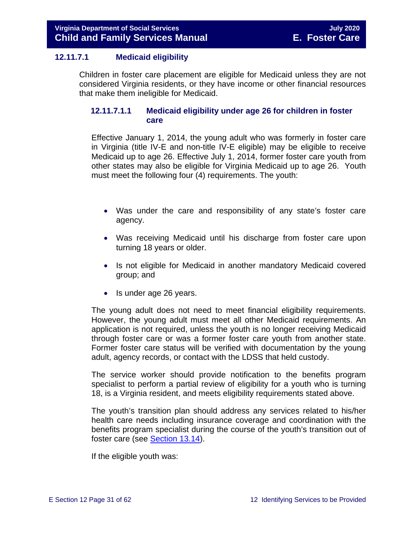#### **12.11.7.1 Medicaid eligibility**

Children in foster care placement are eligible for Medicaid unless they are not considered Virginia residents, or they have income or other financial resources that make them ineligible for Medicaid.

#### **12.11.7.1.1 Medicaid eligibility under age 26 for children in foster care**

Effective January 1, 2014, the young adult who was formerly in foster care in Virginia (title IV-E and non-title IV-E eligible) may be eligible to receive Medicaid up to age 26. Effective July 1, 2014, former foster care youth from other states may also be eligible for Virginia Medicaid up to age 26. Youth must meet the following four (4) requirements. The youth:

- Was under the care and responsibility of any state's foster care agency.
- Was receiving Medicaid until his discharge from foster care upon turning 18 years or older.
- Is not eligible for Medicaid in another mandatory Medicaid covered group; and
- Is under age 26 years.

The young adult does not need to meet financial eligibility requirements. However, the young adult must meet all other Medicaid requirements. An application is not required, unless the youth is no longer receiving Medicaid through foster care or was a former foster care youth from another state. Former foster care status will be verified with documentation by the young adult, agency records, or contact with the LDSS that held custody.

The service worker should provide notification to the benefits program specialist to perform a partial review of eligibility for a youth who is turning 18, is a Virginia resident, and meets eligibility requirements stated above.

The youth's transition plan should address any services related to his/her health care needs including insurance coverage and coordination with the benefits program specialist during the course of the youth's transition out of foster care (see [Section 13.14\)](https://fusion.dss.virginia.gov/Portals/%5bdfs%5d/Files/DFS%20Manuals/Foster%20Care%20Manuals/Foster%20Care%20Manual%2007-2020/Final%20Foster%20Care%20Manual%2007-2020/Section_13_achieving_permanency_for_older_youth.pdf#page=37).

If the eligible youth was: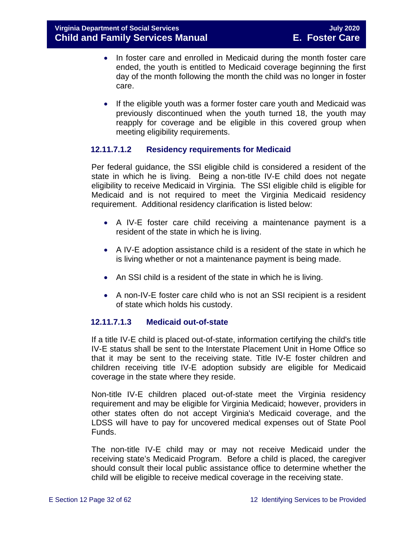- In foster care and enrolled in Medicaid during the month foster care ended, the youth is entitled to Medicaid coverage beginning the first day of the month following the month the child was no longer in foster care.
- If the eligible youth was a former foster care youth and Medicaid was previously discontinued when the youth turned 18, the youth may reapply for coverage and be eligible in this covered group when meeting eligibility requirements.

#### **12.11.7.1.2 Residency requirements for Medicaid**

Per federal guidance, the SSI eligible child is considered a resident of the state in which he is living. Being a non-title IV-E child does not negate eligibility to receive Medicaid in Virginia. The SSI eligible child is eligible for Medicaid and is not required to meet the Virginia Medicaid residency requirement. Additional residency clarification is listed below:

- A IV-E foster care child receiving a maintenance payment is a resident of the state in which he is living.
- A IV-E adoption assistance child is a resident of the state in which he is living whether or not a maintenance payment is being made.
- An SSI child is a resident of the state in which he is living.
- A non-IV-E foster care child who is not an SSI recipient is a resident of state which holds his custody.

### **12.11.7.1.3 Medicaid out-of-state**

If a title IV-E child is placed out-of-state, information certifying the child's title IV-E status shall be sent to the Interstate Placement Unit in Home Office so that it may be sent to the receiving state. Title IV-E foster children and children receiving title IV-E adoption subsidy are eligible for Medicaid coverage in the state where they reside.

Non-title IV-E children placed out-of-state meet the Virginia residency requirement and may be eligible for Virginia Medicaid; however, providers in other states often do not accept Virginia's Medicaid coverage, and the LDSS will have to pay for uncovered medical expenses out of State Pool Funds.

The non-title IV-E child may or may not receive Medicaid under the receiving state's Medicaid Program. Before a child is placed, the caregiver should consult their local public assistance office to determine whether the child will be eligible to receive medical coverage in the receiving state.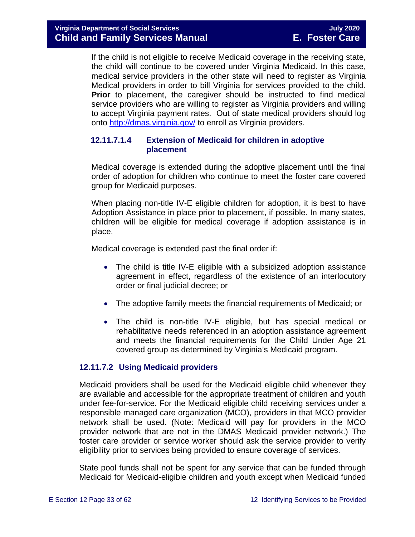If the child is not eligible to receive Medicaid coverage in the receiving state, the child will continue to be covered under Virginia Medicaid. In this case, medical service providers in the other state will need to register as Virginia Medical providers in order to bill Virginia for services provided to the child. **Prior** to placement, the caregiver should be instructed to find medical service providers who are willing to register as Virginia providers and willing to accept Virginia payment rates. Out of state medical providers should log onto<http://dmas.virginia.gov/> to enroll as Virginia providers.

#### **12.11.7.1.4 Extension of Medicaid for children in adoptive placement**

Medical coverage is extended during the adoptive placement until the final order of adoption for children who continue to meet the foster care covered group for Medicaid purposes.

When placing non-title IV-E eligible children for adoption, it is best to have Adoption Assistance in place prior to placement, if possible. In many states, children will be eligible for medical coverage if adoption assistance is in place.

Medical coverage is extended past the final order if:

- The child is title IV-E eligible with a subsidized adoption assistance agreement in effect, regardless of the existence of an interlocutory order or final judicial decree; or
- The adoptive family meets the financial requirements of Medicaid; or
- The child is non-title IV-E eligible, but has special medical or rehabilitative needs referenced in an adoption assistance agreement and meets the financial requirements for the Child Under Age 21 covered group as determined by Virginia's Medicaid program.

#### **12.11.7.2 Using Medicaid providers**

Medicaid providers shall be used for the Medicaid eligible child whenever they are available and accessible for the appropriate treatment of children and youth under fee-for-service. For the Medicaid eligible child receiving services under a responsible managed care organization (MCO), providers in that MCO provider network shall be used. (Note: Medicaid will pay for providers in the MCO provider network that are not in the DMAS Medicaid provider network.) The foster care provider or service worker should ask the service provider to verify eligibility prior to services being provided to ensure coverage of services.

State pool funds shall not be spent for any service that can be funded through Medicaid for Medicaid-eligible children and youth except when Medicaid funded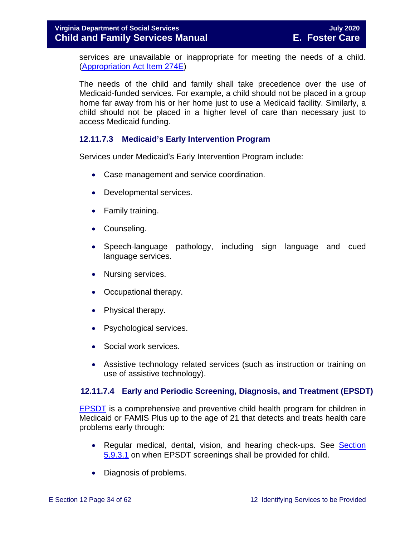#### **Virginia Department of Social Services July 2020 Child and Family Services Manual E. Foster Care**

services are unavailable or inappropriate for meeting the needs of a child. [\(Appropriation Act Item 274E\)](http://lis.virginia.gov/cgi-bin/legp604.exe?111+bud+21-274)

The needs of the child and family shall take precedence over the use of Medicaid-funded services. For example, a child should not be placed in a group home far away from his or her home just to use a Medicaid facility. Similarly, a child should not be placed in a higher level of care than necessary just to access Medicaid funding.

#### **12.11.7.3 Medicaid's Early Intervention Program**

Services under Medicaid's Early Intervention Program include:

- Case management and service coordination.
- Developmental services.
- Family training.
- Counseling.
- Speech-language pathology, including sign language and cued language services.
- Nursing services.
- Occupational therapy.
- Physical therapy.
- Psychological services.
- Social work services.
- Assistive technology related services (such as instruction or training on use of assistive technology).

#### **12.11.7.4 Early and Periodic Screening, Diagnosis, and Treatment (EPSDT)**

[EPSDT](http://dmasva.dmas.virginia.gov/Content_pgs/mch-home.aspx) is a comprehensive and preventive child health program for children in Medicaid or FAMIS Plus up to the age of 21 that detects and treats health care problems early through:

- Regular medical, dental, vision, and hearing check-ups. See Section [5.9.3.1](https://fusion.dss.virginia.gov/Portals/%5bdfs%5d/Files/DFS%20Manuals/Foster%20Care%20Manuals/Foster%20Care%20Manual%2007-2020/Final%20Foster%20Care%20Manual%2007-2020/section_5_conducting_child_and_family_assessment.pdf#page=22) on when EPSDT screenings shall be provided for child.
- Diagnosis of problems.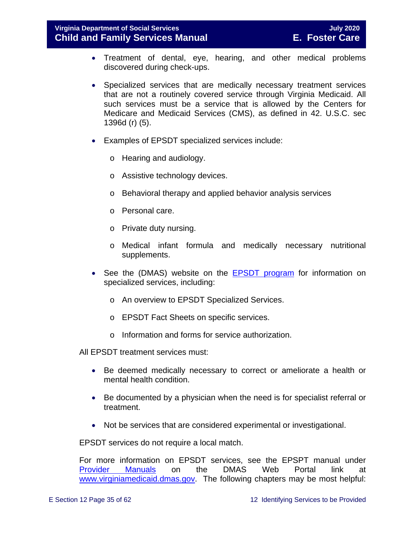**Virginia Department of Social Services July 2020 Child and Family Services Manual E. Foster Care**

- Treatment of dental, eye, hearing, and other medical problems discovered during check-ups.
- Specialized services that are medically necessary treatment services that are not a routinely covered service through Virginia Medicaid. All such services must be a service that is allowed by the Centers for Medicare and Medicaid Services (CMS), as defined in 42. U.S.C. sec 1396d (r) (5).
- Examples of EPSDT specialized services include:
	- o Hearing and audiology.
	- o Assistive technology devices.
	- o Behavioral therapy and applied behavior analysis services
	- o Personal care.
	- o Private duty nursing.
	- o Medical infant formula and medically necessary nutritional supplements.
- See the (DMAS) website on the [EPSDT program](http://www.dmas.virginia.gov/Content_pgs/mch-home.aspx) for information on specialized services, including:
	- o An overview to EPSDT Specialized Services.
	- o EPSDT Fact Sheets on specific services.
	- o Information and forms for service authorization.

All EPSDT treatment services must:

- Be deemed medically necessary to correct or ameliorate a health or mental health condition.
- Be documented by a physician when the need is for specialist referral or treatment.
- Not be services that are considered experimental or investigational.

EPSDT services do not require a local match.

For more information on EPSDT services, see the EPSPT manual under [Provider Manuals](https://www.virginiamedicaid.dmas.virginia.gov/wps/portal/ProviderManual) on the DMAS Web Portal link at [www.virginiamedicaid.dmas.gov.](http://www.virginiamedicaid.dmas.gov/) The following chapters may be most helpful: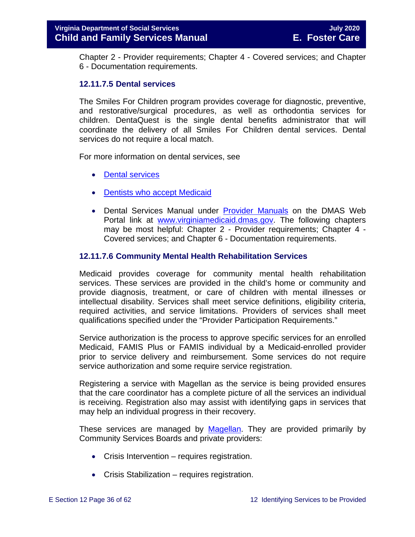Chapter 2 - Provider requirements; Chapter 4 - Covered services; and Chapter 6 - Documentation requirements.

#### **12.11.7.5 Dental services**

The Smiles For Children program provides coverage for diagnostic, preventive, and restorative/surgical procedures, as well as orthodontia services for children. DentaQuest is the single dental benefits administrator that will coordinate the delivery of all Smiles For Children dental services. Dental services do not require a local match.

For more information on dental services, see

- [Dental services](http://dmasva.dmas.virginia.gov/Content_pgs/dental-home.aspx)
- [Dentists who accept Medicaid](http://dmasva.dmas.virginia.gov/Content_pgs/dental-home.aspx)
- Dental Services Manual under [Provider Manuals](https://www.virginiamedicaid.dmas.virginia.gov/wps/portal/ProviderManual) on the DMAS Web Portal link at [www.virginiamedicaid.dmas.gov.](http://www.virginiamedicaid.dmas.gov/) The following chapters may be most helpful: Chapter 2 - Provider requirements; Chapter 4 - Covered services; and Chapter 6 - Documentation requirements.

#### **12.11.7.6 Community Mental Health Rehabilitation Services**

Medicaid provides coverage for community mental health rehabilitation services. These services are provided in the child's home or community and provide diagnosis, treatment, or care of children with mental illnesses or intellectual disability. Services shall meet service definitions, eligibility criteria, required activities, and service limitations. Providers of services shall meet qualifications specified under the "Provider Participation Requirements."

Service authorization is the process to approve specific services for an enrolled Medicaid, FAMIS Plus or FAMIS individual by a Medicaid-enrolled provider prior to service delivery and reimbursement. Some services do not require service authorization and some require service registration.

Registering a service with Magellan as the service is being provided ensures that the care coordinator has a complete picture of all the services an individual is receiving. Registration also may assist with identifying gaps in services that may help an individual progress in their recovery.

These services are managed by [Magellan.](http://www.magellanofvirginia.com/) They are provided primarily by Community Services Boards and private providers:

- Crisis Intervention requires registration.
- Crisis Stabilization requires registration.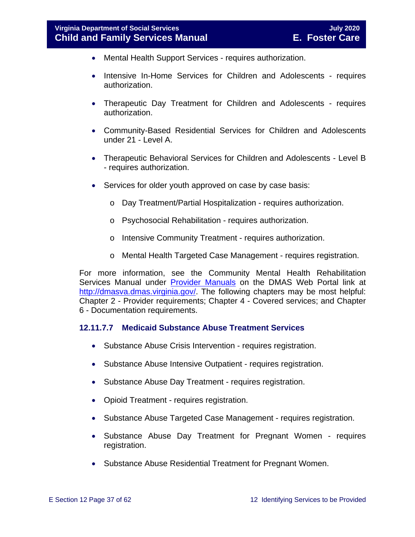- Mental Health Support Services requires authorization.
- Intensive In-Home Services for Children and Adolescents requires authorization.
- Therapeutic Day Treatment for Children and Adolescents requires authorization.
- Community-Based Residential Services for Children and Adolescents under 21 - Level A.
- Therapeutic Behavioral Services for Children and Adolescents Level B - requires authorization.
- Services for older youth approved on case by case basis:
	- o Day Treatment/Partial Hospitalization requires authorization.
	- o Psychosocial Rehabilitation requires authorization.
	- o Intensive Community Treatment requires authorization.
	- o Mental Health Targeted Case Management requires registration.

For more information, see the Community Mental Health Rehabilitation Services Manual under [Provider Manuals](https://www.virginiamedicaid.dmas.virginia.gov/wps/portal/ProviderManual) on the DMAS Web Portal link at [http://dmasva.dmas.virginia.gov/.](http://dmasva.dmas.virginia.gov/) The following chapters may be most helpful: Chapter 2 - Provider requirements; Chapter 4 - Covered services; and Chapter 6 - Documentation requirements.

#### **12.11.7.7 Medicaid Substance Abuse Treatment Services**

- Substance Abuse Crisis Intervention requires registration.
- Substance Abuse Intensive Outpatient requires registration.
- Substance Abuse Day Treatment requires registration.
- Opioid Treatment requires registration.
- Substance Abuse Targeted Case Management requires registration.
- Substance Abuse Day Treatment for Pregnant Women requires registration.
- Substance Abuse Residential Treatment for Pregnant Women.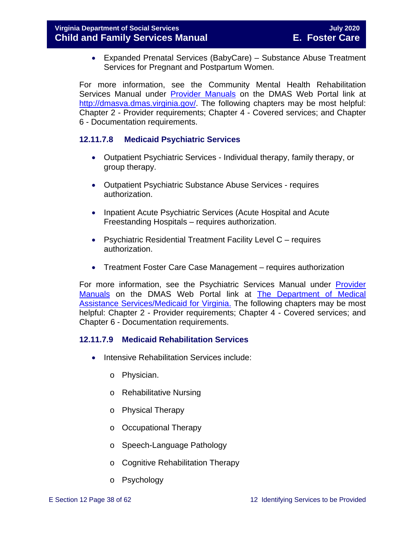• Expanded Prenatal Services (BabyCare) – Substance Abuse Treatment Services for Pregnant and Postpartum Women.

For more information, see the Community Mental Health Rehabilitation Services Manual under [Provider Manuals](https://www.virginiamedicaid.dmas.virginia.gov/wps/portal/ProviderManual) on the DMAS Web Portal link at [http://dmasva.dmas.virginia.gov/.](http://dmasva.dmas.virginia.gov/) The following chapters may be most helpful: Chapter 2 - Provider requirements; Chapter 4 - Covered services; and Chapter 6 - Documentation requirements.

#### **12.11.7.8 Medicaid Psychiatric Services**

- Outpatient Psychiatric Services Individual therapy, family therapy, or group therapy.
- Outpatient Psychiatric Substance Abuse Services requires authorization.
- Inpatient Acute Psychiatric Services (Acute Hospital and Acute Freestanding Hospitals – requires authorization.
- Psychiatric Residential Treatment Facility Level C requires authorization.
- Treatment Foster Care Case Management requires authorization

For more information, see the Psychiatric Services Manual under [Provider](https://www.virginiamedicaid.dmas.virginia.gov/wps/portal/ProviderManual)  [Manuals](https://www.virginiamedicaid.dmas.virginia.gov/wps/portal/ProviderManual) on the DMAS Web Portal link at [The Department of Medical](http://dmasva.dmas.virginia.gov/)  [Assistance Services/Medicaid for Virginia.](http://dmasva.dmas.virginia.gov/) The following chapters may be most helpful: Chapter 2 - Provider requirements; Chapter 4 - Covered services; and Chapter 6 - Documentation requirements.

#### **12.11.7.9 Medicaid Rehabilitation Services**

- Intensive Rehabilitation Services include:
	- o Physician.
	- o Rehabilitative Nursing
	- o Physical Therapy
	- o Occupational Therapy
	- o Speech-Language Pathology
	- o Cognitive Rehabilitation Therapy
	- o Psychology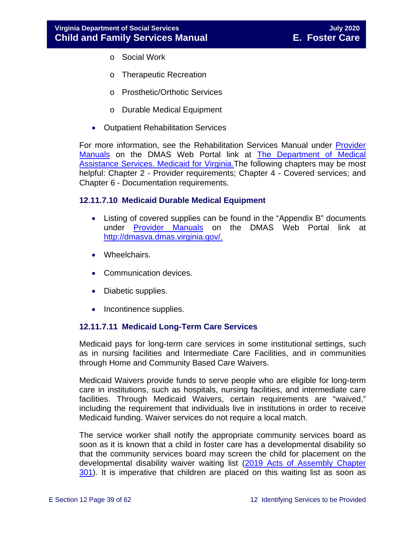- o Social Work
- o Therapeutic Recreation
- o Prosthetic/Orthotic Services
- o Durable Medical Equipment
- Outpatient Rehabilitation Services

For more information, see the Rehabilitation Services Manual under **Provider** [Manuals](https://www.virginiamedicaid.dmas.virginia.gov/wps/portal/ProviderManual) on the DMAS Web Portal link at [The Department of Medical](http://dmasva.dmas.virginia.gov/)  Assistance Services. Medicaid for Virginia. The following chapters may be most helpful: Chapter 2 - Provider requirements; Chapter 4 - Covered services; and Chapter 6 - Documentation requirements.

#### **12.11.7.10 Medicaid Durable Medical Equipment**

- Listing of covered supplies can be found in the "Appendix B" documents under **[Provider Manuals](https://www.virginiamedicaid.dmas.virginia.gov/wps/portal/ProviderManual)** on the DMAS Web Portal link at [http://dmasva.dmas.virginia.gov/.](http://dmasva.dmas.virginia.gov/)
- Wheelchairs.
- Communication devices.
- Diabetic supplies.
- Incontinence supplies.

#### **12.11.7.11 Medicaid Long-Term Care Services**

Medicaid pays for long-term care services in some institutional settings, such as in nursing facilities and Intermediate Care Facilities, and in communities through Home and Community Based Care Waivers.

Medicaid Waivers provide funds to serve people who are eligible for long-term care in institutions, such as hospitals, nursing facilities, and intermediate care facilities. Through Medicaid Waivers, certain requirements are "waived," including the requirement that individuals live in institutions in order to receive Medicaid funding. Waiver services do not require a local match.

The service worker shall notify the appropriate community services board as soon as it is known that a child in foster care has a developmental disability so that the community services board may screen the child for placement on the developmental disability waiver waiting list [\(2019 Acts of Assembly Chapter](http://lis.virginia.gov/cgi-bin/legp604.exe?191+ful+CHAP0301)  [301\)](http://lis.virginia.gov/cgi-bin/legp604.exe?191+ful+CHAP0301). It is imperative that children are placed on this waiting list as soon as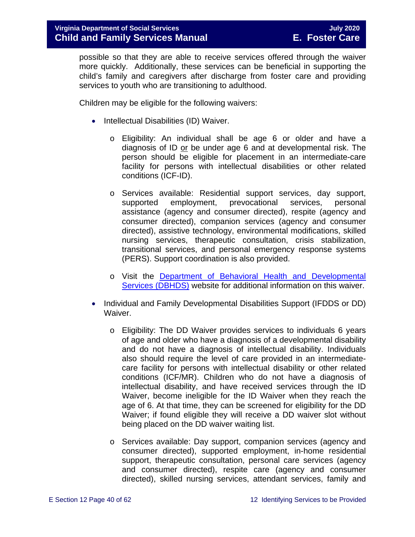possible so that they are able to receive services offered through the waiver more quickly. Additionally, these services can be beneficial in supporting the child's family and caregivers after discharge from foster care and providing services to youth who are transitioning to adulthood.

Children may be eligible for the following waivers:

- Intellectual Disabilities (ID) Waiver.
	- o Eligibility: An individual shall be age 6 or older and have a diagnosis of ID or be under age 6 and at developmental risk. The person should be eligible for placement in an intermediate-care facility for persons with intellectual disabilities or other related conditions (ICF-ID).
	- o Services available: Residential support services, day support, supported employment, prevocational services, personal assistance (agency and consumer directed), respite (agency and consumer directed), companion services (agency and consumer directed), assistive technology, environmental modifications, skilled nursing services, therapeutic consultation, crisis stabilization, transitional services, and personal emergency response systems (PERS). Support coordination is also provided.
	- o Visit the [Department of Behavioral Health and Developmental](http://www.dbhds.virginia.gov/)  [Services \(DBHDS\)](http://www.dbhds.virginia.gov/) website for additional information on this waiver.
- Individual and Family Developmental Disabilities Support (IFDDS or DD) Waiver.
	- o Eligibility: The DD Waiver provides services to individuals 6 years of age and older who have a diagnosis of a developmental disability and do not have a diagnosis of intellectual disability. Individuals also should require the level of care provided in an intermediatecare facility for persons with intellectual disability or other related conditions (ICF/MR). Children who do not have a diagnosis of intellectual disability, and have received services through the ID Waiver, become ineligible for the ID Waiver when they reach the age of 6. At that time, they can be screened for eligibility for the DD Waiver; if found eligible they will receive a DD waiver slot without being placed on the DD waiver waiting list.
	- o Services available: Day support, companion services (agency and consumer directed), supported employment, in-home residential support, therapeutic consultation, personal care services (agency and consumer directed), respite care (agency and consumer directed), skilled nursing services, attendant services, family and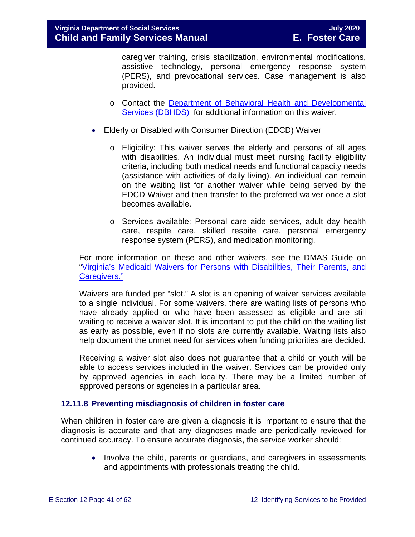caregiver training, crisis stabilization, environmental modifications, assistive technology, personal emergency response system (PERS), and prevocational services. Case management is also provided.

- o Contact the Department of Behavioral [Health and Developmental](http://www.dbhds.virginia.gov/)  [Services \(DBHDS\)](http://www.dbhds.virginia.gov/) for additional information on this waiver.
- Elderly or Disabled with Consumer Direction (EDCD) Waiver
	- o Eligibility: This waiver serves the elderly and persons of all ages with disabilities. An individual must meet nursing facility eligibility criteria, including both medical needs and functional capacity needs (assistance with activities of daily living). An individual can remain on the waiting list for another waiver while being served by the EDCD Waiver and then transfer to the preferred waiver once a slot becomes available.
	- o Services available: Personal care aide services, adult day health care, respite care, skilled respite care, personal emergency response system (PERS), and medication monitoring.

For more information on these and other waivers, see the DMAS Guide on ["Virginia's Medicaid Waivers for Persons with Disabilities, Their Parents, and](http://www.dmas.virginia.gov/Content_pgs/ltc-home.aspx)  [Caregivers."](http://www.dmas.virginia.gov/Content_pgs/ltc-home.aspx)

Waivers are funded per "slot." A slot is an opening of waiver services available to a single individual. For some waivers, there are waiting lists of persons who have already applied or who have been assessed as eligible and are still waiting to receive a waiver slot. It is important to put the child on the waiting list as early as possible, even if no slots are currently available. Waiting lists also help document the unmet need for services when funding priorities are decided.

Receiving a waiver slot also does not guarantee that a child or youth will be able to access services included in the waiver. Services can be provided only by approved agencies in each locality. There may be a limited number of approved persons or agencies in a particular area.

#### <span id="page-40-0"></span>**12.11.8 Preventing misdiagnosis of children in foster care**

When children in foster care are given a diagnosis it is important to ensure that the diagnosis is accurate and that any diagnoses made are periodically reviewed for continued accuracy. To ensure accurate diagnosis, the service worker should:

• Involve the child, parents or guardians, and caregivers in assessments and appointments with professionals treating the child.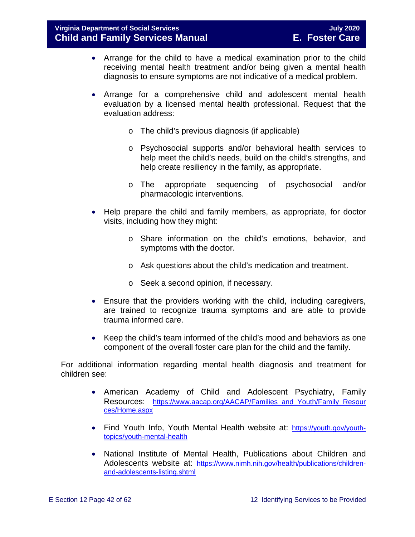- Arrange for the child to have a medical examination prior to the child receiving mental health treatment and/or being given a mental health diagnosis to ensure symptoms are not indicative of a medical problem.
- Arrange for a comprehensive child and adolescent mental health evaluation by a licensed mental health professional. Request that the evaluation address:
	- o The child's previous diagnosis (if applicable)
	- o Psychosocial supports and/or behavioral health services to help meet the child's needs, build on the child's strengths, and help create resiliency in the family, as appropriate.
	- o The appropriate sequencing of psychosocial and/or pharmacologic interventions.
- Help prepare the child and family members, as appropriate, for doctor visits, including how they might:
	- o Share information on the child's emotions, behavior, and symptoms with the doctor.
	- o Ask questions about the child's medication and treatment.
	- o Seek a second opinion, if necessary.
- Ensure that the providers working with the child, including caregivers, are trained to recognize trauma symptoms and are able to provide trauma informed care.
- Keep the child's team informed of the child's mood and behaviors as one component of the overall foster care plan for the child and the family.

For additional information regarding mental health diagnosis and treatment for children see:

- American Academy of Child and Adolescent Psychiatry, Family Resources: [https://www.aacap.org/AACAP/Families\\_and\\_Youth/Family\\_Resour](https://www.aacap.org/AACAP/Families_and_Youth/Family_Resources/Home.aspx) [ces/Home.aspx](https://www.aacap.org/AACAP/Families_and_Youth/Family_Resources/Home.aspx)
- Find Youth Info, Youth Mental Health website at: [https://youth.gov/youth](https://youth.gov/youth-topics/youth-mental-health)[topics/youth-mental-health](https://youth.gov/youth-topics/youth-mental-health)
- National Institute of Mental Health, Publications about Children and Adolescents website at: [https://www.nimh.nih.gov/health/publications/children](https://www.nimh.nih.gov/health/publications/children-and-adolescents-listing.shtml)[and-adolescents-listing.shtml](https://www.nimh.nih.gov/health/publications/children-and-adolescents-listing.shtml)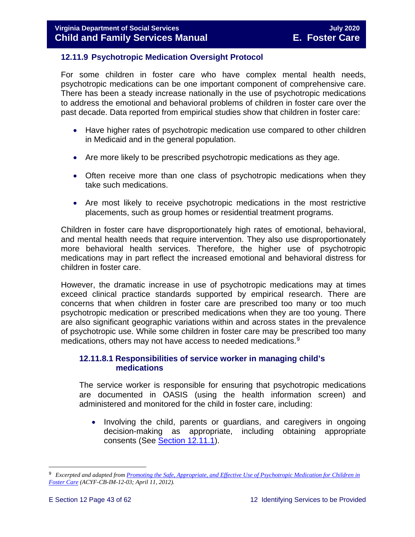#### <span id="page-42-0"></span>**12.11.9 Psychotropic Medication Oversight Protocol**

For some children in foster care who have complex mental health needs, psychotropic medications can be one important component of comprehensive care. There has been a steady increase nationally in the use of psychotropic medications to address the emotional and behavioral problems of children in foster care over the past decade. Data reported from empirical studies show that children in foster care:

- Have higher rates of psychotropic medication use compared to other children in Medicaid and in the general population.
- Are more likely to be prescribed psychotropic medications as they age.
- Often receive more than one class of psychotropic medications when they take such medications.
- Are most likely to receive psychotropic medications in the most restrictive placements, such as group homes or residential treatment programs.

Children in foster care have disproportionately high rates of emotional, behavioral, and mental health needs that require intervention. They also use disproportionately more behavioral health services. Therefore, the higher use of psychotropic medications may in part reflect the increased emotional and behavioral distress for children in foster care.

However, the dramatic increase in use of psychotropic medications may at times exceed clinical practice standards supported by empirical research. There are concerns that when children in foster care are prescribed too many or too much psychotropic medication or prescribed medications when they are too young. There are also significant geographic variations within and across states in the prevalence of psychotropic use. While some children in foster care may be prescribed too many medications, others may not have access to needed medications. [9](#page-42-1)

#### **12.11.8.1 Responsibilities of service worker in managing child's medications**

The service worker is responsible for ensuring that psychotropic medications are documented in OASIS (using the health information screen) and administered and monitored for the child in foster care, including:

• Involving the child, parents or guardians, and caregivers in ongoing decision-making as appropriate, including obtaining appropriate consents (See [Section 12.11.1\)](#page-23-0).

<span id="page-42-1"></span>Ĩ. 9 *Excerpted and adapted from [Promoting the Safe, Appropriate, and Effective Use of Psychotropic Medication for Children in](http://www.acf.hhs.gov/sites/default/files/cb/im1203.pdf)  [Foster Care](http://www.acf.hhs.gov/sites/default/files/cb/im1203.pdf) (ACYF-CB-IM-12-03; April 11, 2012).*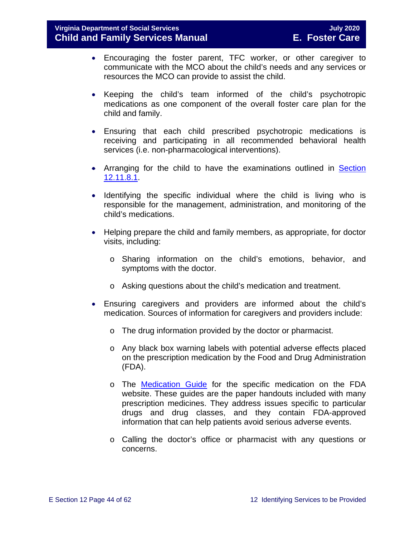- Encouraging the foster parent, TFC worker, or other caregiver to communicate with the MCO about the child's needs and any services or resources the MCO can provide to assist the child.
- Keeping the child's team informed of the child's psychotropic medications as one component of the overall foster care plan for the child and family.
- Ensuring that each child prescribed psychotropic medications is receiving and participating in all recommended behavioral health services (i.e. non-pharmacological interventions).
- Arranging for the child to have the examinations outlined in Section [12.11.8.1.](#page-45-0)
- Identifying the specific individual where the child is living who is responsible for the management, administration, and monitoring of the child's medications.
- Helping prepare the child and family members, as appropriate, for doctor visits, including:
	- o Sharing information on the child's emotions, behavior, and symptoms with the doctor.
	- o Asking questions about the child's medication and treatment.
- Ensuring caregivers and providers are informed about the child's medication. Sources of information for caregivers and providers include:
	- o The drug information provided by the doctor or pharmacist.
	- o Any black box warning labels with potential adverse effects placed on the prescription medication by the Food and Drug Administration (FDA).
	- o The [Medication Guide](http://www.fda.gov/Drugs/DrugSafety/ucm085729.htm) for the specific medication on the FDA website. These guides are the paper handouts included with many prescription medicines. They address issues specific to particular drugs and drug classes, and they contain FDA-approved information that can help patients avoid serious adverse events.
	- o Calling the doctor's office or pharmacist with any questions or concerns.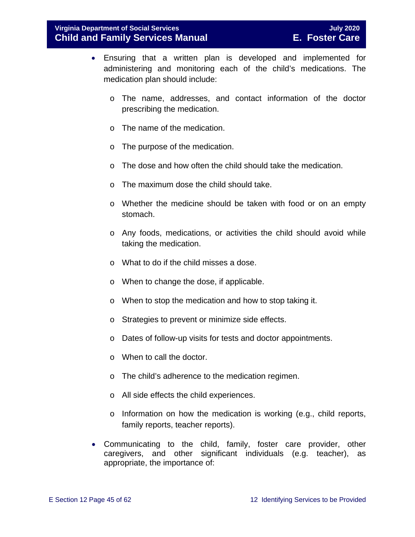- Ensuring that a written plan is developed and implemented for administering and monitoring each of the child's medications. The medication plan should include:
	- o The name, addresses, and contact information of the doctor prescribing the medication.
	- o The name of the medication.
	- o The purpose of the medication.
	- o The dose and how often the child should take the medication.
	- o The maximum dose the child should take.
	- o Whether the medicine should be taken with food or on an empty stomach.
	- o Any foods, medications, or activities the child should avoid while taking the medication.
	- o What to do if the child misses a dose.
	- o When to change the dose, if applicable.
	- o When to stop the medication and how to stop taking it.
	- o Strategies to prevent or minimize side effects.
	- o Dates of follow-up visits for tests and doctor appointments.
	- o When to call the doctor.
	- o The child's adherence to the medication regimen.
	- o All side effects the child experiences.
	- o Information on how the medication is working (e.g., child reports, family reports, teacher reports).
- Communicating to the child, family, foster care provider, other caregivers, and other significant individuals (e.g. teacher), as appropriate, the importance of: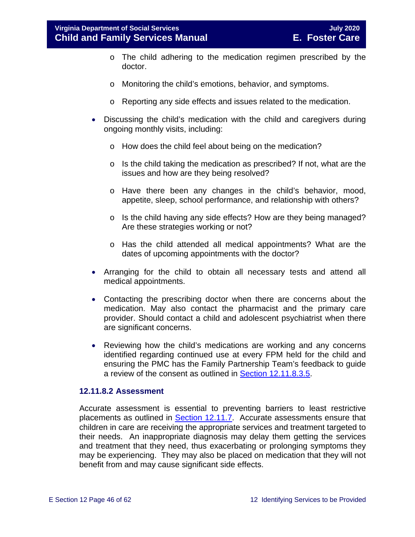- o The child adhering to the medication regimen prescribed by the doctor.
- o Monitoring the child's emotions, behavior, and symptoms.
- o Reporting any side effects and issues related to the medication.
- Discussing the child's medication with the child and caregivers during ongoing monthly visits, including:
	- o How does the child feel about being on the medication?
	- o Is the child taking the medication as prescribed? If not, what are the issues and how are they being resolved?
	- o Have there been any changes in the child's behavior, mood, appetite, sleep, school performance, and relationship with others?
	- o Is the child having any side effects? How are they being managed? Are these strategies working or not?
	- o Has the child attended all medical appointments? What are the dates of upcoming appointments with the doctor?
- Arranging for the child to obtain all necessary tests and attend all medical appointments.
- Contacting the prescribing doctor when there are concerns about the medication. May also contact the pharmacist and the primary care provider. Should contact a child and adolescent psychiatrist when there are significant concerns.
- Reviewing how the child's medications are working and any concerns identified regarding continued use at every FPM held for the child and ensuring the PMC has the Family Partnership Team's feedback to guide a review of the consent as outlined in [Section 12.11.8.3.5.](#page-51-0)

#### <span id="page-45-0"></span>**12.11.8.2 Assessment**

Accurate assessment is essential to preventing barriers to least restrictive placements as outlined in [Section 12.11.7.](#page-40-0) Accurate assessments ensure that children in care are receiving the appropriate services and treatment targeted to their needs. An inappropriate diagnosis may delay them getting the services and treatment that they need, thus exacerbating or prolonging symptoms they may be experiencing. They may also be placed on medication that they will not benefit from and may cause significant side effects.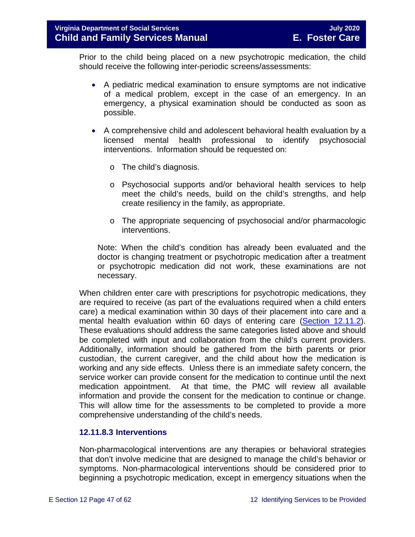Prior to the child being placed on a new psychotropic medication, the child should receive the following inter-periodic screens/assessments:

- A pediatric medical examination to ensure symptoms are not indicative of a medical problem, except in the case of an emergency. In an emergency, a physical examination should be conducted as soon as possible.
- A comprehensive child and adolescent behavioral health evaluation by a licensed mental health professional to identify psychosocial interventions. Information should be requested on:
	- o The child's diagnosis.
	- o Psychosocial supports and/or behavioral health services to help meet the child's needs, build on the child's strengths, and help create resiliency in the family, as appropriate.
	- o The appropriate sequencing of psychosocial and/or pharmacologic interventions.

Note: When the child's condition has already been evaluated and the doctor is changing treatment or psychotropic medication after a treatment or psychotropic medication did not work, these examinations are not necessary.

When children enter care with prescriptions for psychotropic medications, they are required to receive (as part of the evaluations required when a child enters care) a medical examination within 30 days of their placement into care and a mental health evaluation within 60 days of entering care [\(Section 12.11.2\)](#page-24-0). These evaluations should address the same categories listed above and should be completed with input and collaboration from the child's current providers. Additionally, information should be gathered from the birth parents or prior custodian, the current caregiver, and the child about how the medication is working and any side effects. Unless there is an immediate safety concern, the service worker can provide consent for the medication to continue until the next medication appointment. At that time, the PMC will review all available information and provide the consent for the medication to continue or change. This will allow time for the assessments to be completed to provide a more comprehensive understanding of the child's needs.

#### **12.11.8.3 Interventions**

Non-pharmacological interventions are any therapies or behavioral strategies that don't involve medicine that are designed to manage the child's behavior or symptoms. Non-pharmacological interventions should be considered prior to beginning a psychotropic medication, except in emergency situations when the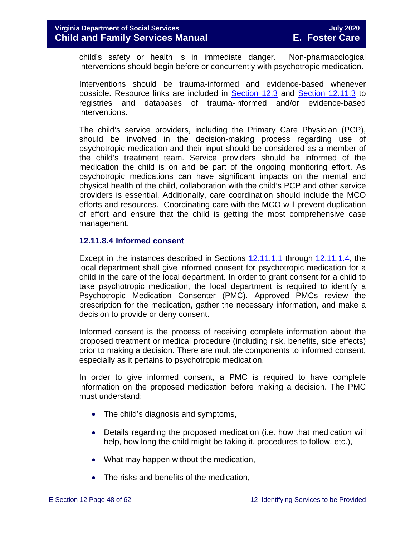child's safety or health is in immediate danger. Non-pharmacological interventions should begin before or concurrently with psychotropic medication.

Interventions should be trauma-informed and evidence-based whenever possible. Resource links are included in [Section 12.3](#page-6-2) and [Section 12.11.3](#page-27-3) to registries and databases of trauma-informed and/or evidence-based interventions.

The child's service providers, including the Primary Care Physician (PCP), should be involved in the decision-making process regarding use of psychotropic medication and their input should be considered as a member of the child's treatment team. Service providers should be informed of the medication the child is on and be part of the ongoing monitoring effort. As psychotropic medications can have significant impacts on the mental and physical health of the child, collaboration with the child's PCP and other service providers is essential. Additionally, care coordination should include the MCO efforts and resources. Coordinating care with the MCO will prevent duplication of effort and ensure that the child is getting the most comprehensive case management.

#### **12.11.8.4 Informed consent**

Except in the instances described in Sections [12.11.1.1](#page-23-2) through [12.11.1.4,](#page-24-1) the local department shall give informed consent for psychotropic medication for a child in the care of the local department. In order to grant consent for a child to take psychotropic medication, the local department is required to identify a Psychotropic Medication Consenter (PMC). Approved PMCs review the prescription for the medication, gather the necessary information, and make a decision to provide or deny consent.

Informed consent is the process of receiving complete information about the proposed treatment or medical procedure (including risk, benefits, side effects) prior to making a decision. There are multiple components to informed consent, especially as it pertains to psychotropic medication.

In order to give informed consent, a PMC is required to have complete information on the proposed medication before making a decision. The PMC must understand:

- The child's diagnosis and symptoms,
- Details regarding the proposed medication (i.e. how that medication will help, how long the child might be taking it, procedures to follow, etc.),
- What may happen without the medication,
- The risks and benefits of the medication,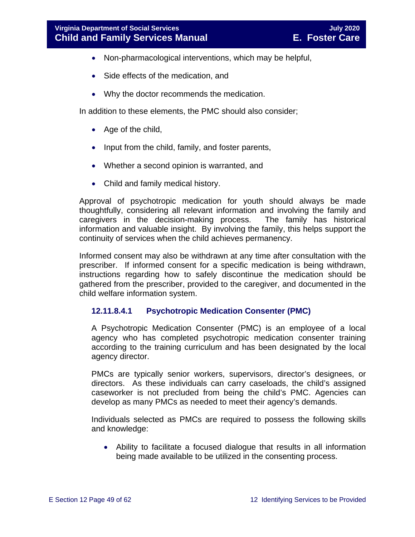- Non-pharmacological interventions, which may be helpful,
- Side effects of the medication, and
- Why the doctor recommends the medication.

In addition to these elements, the PMC should also consider;

- Age of the child,
- Input from the child, family, and foster parents,
- Whether a second opinion is warranted, and
- Child and family medical history.

Approval of psychotropic medication for youth should always be made thoughtfully, considering all relevant information and involving the family and caregivers in the decision-making process. The family has historical information and valuable insight. By involving the family, this helps support the continuity of services when the child achieves permanency.

Informed consent may also be withdrawn at any time after consultation with the prescriber. If informed consent for a specific medication is being withdrawn, instructions regarding how to safely discontinue the medication should be gathered from the prescriber, provided to the caregiver, and documented in the child welfare information system.

#### <span id="page-48-0"></span>**12.11.8.4.1 Psychotropic Medication Consenter (PMC)**

A Psychotropic Medication Consenter (PMC) is an employee of a local agency who has completed psychotropic medication consenter training according to the training curriculum and has been designated by the local agency director.

PMCs are typically senior workers, supervisors, director's designees, or directors. As these individuals can carry caseloads, the child's assigned caseworker is not precluded from being the child's PMC. Agencies can develop as many PMCs as needed to meet their agency's demands.

Individuals selected as PMCs are required to possess the following skills and knowledge:

• Ability to facilitate a focused dialogue that results in all information being made available to be utilized in the consenting process.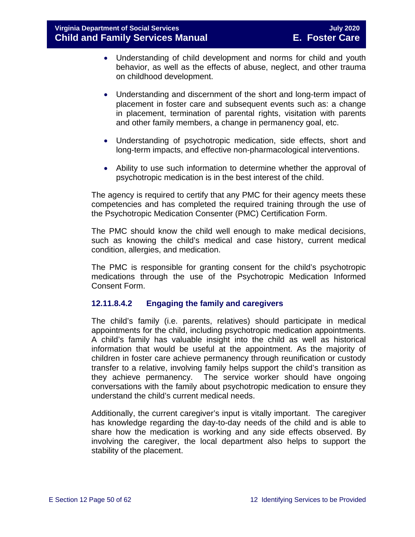- Understanding of child development and norms for child and youth behavior, as well as the effects of abuse, neglect, and other trauma on childhood development.
- Understanding and discernment of the short and long-term impact of placement in foster care and subsequent events such as: a change in placement, termination of parental rights, visitation with parents and other family members, a change in permanency goal, etc.
- Understanding of psychotropic medication, side effects, short and long-term impacts, and effective non-pharmacological interventions.
- Ability to use such information to determine whether the approval of psychotropic medication is in the best interest of the child.

The agency is required to certify that any PMC for their agency meets these competencies and has completed the required training through the use of the Psychotropic Medication Consenter (PMC) Certification Form.

The PMC should know the child well enough to make medical decisions, such as knowing the child's medical and case history, current medical condition, allergies, and medication.

The PMC is responsible for granting consent for the child's psychotropic medications through the use of the Psychotropic Medication Informed Consent Form.

#### **12.11.8.4.2 Engaging the family and caregivers**

The child's family (i.e. parents, relatives) should participate in medical appointments for the child, including psychotropic medication appointments. A child's family has valuable insight into the child as well as historical information that would be useful at the appointment. As the majority of children in foster care achieve permanency through reunification or custody transfer to a relative, involving family helps support the child's transition as they achieve permanency. The service worker should have ongoing conversations with the family about psychotropic medication to ensure they understand the child's current medical needs.

Additionally, the current caregiver's input is vitally important. The caregiver has knowledge regarding the day-to-day needs of the child and is able to share how the medication is working and any side effects observed. By involving the caregiver, the local department also helps to support the stability of the placement.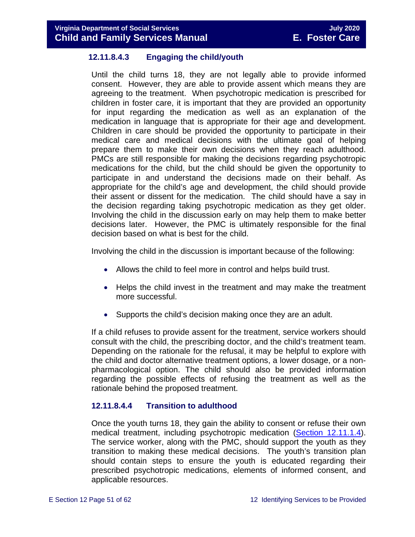#### **12.11.8.4.3 Engaging the child/youth**

Until the child turns 18, they are not legally able to provide informed consent. However, they are able to provide assent which means they are agreeing to the treatment. When psychotropic medication is prescribed for children in foster care, it is important that they are provided an opportunity for input regarding the medication as well as an explanation of the medication in language that is appropriate for their age and development. Children in care should be provided the opportunity to participate in their medical care and medical decisions with the ultimate goal of helping prepare them to make their own decisions when they reach adulthood. PMCs are still responsible for making the decisions regarding psychotropic medications for the child, but the child should be given the opportunity to participate in and understand the decisions made on their behalf. As appropriate for the child's age and development, the child should provide their assent or dissent for the medication. The child should have a say in the decision regarding taking psychotropic medication as they get older. Involving the child in the discussion early on may help them to make better decisions later. However, the PMC is ultimately responsible for the final decision based on what is best for the child.

Involving the child in the discussion is important because of the following:

- Allows the child to feel more in control and helps build trust.
- Helps the child invest in the treatment and may make the treatment more successful.
- Supports the child's decision making once they are an adult.

If a child refuses to provide assent for the treatment, service workers should consult with the child, the prescribing doctor, and the child's treatment team. Depending on the rationale for the refusal, it may be helpful to explore with the child and doctor alternative treatment options, a lower dosage, or a nonpharmacological option. The child should also be provided information regarding the possible effects of refusing the treatment as well as the rationale behind the proposed treatment.

#### **12.11.8.4.4 Transition to adulthood**

Once the youth turns 18, they gain the ability to consent or refuse their own medical treatment, including psychotropic medication [\(Section 12.11.1.4\)](#page-24-1). The service worker, along with the PMC, should support the youth as they transition to making these medical decisions. The youth's transition plan should contain steps to ensure the youth is educated regarding their prescribed psychotropic medications, elements of informed consent, and applicable resources.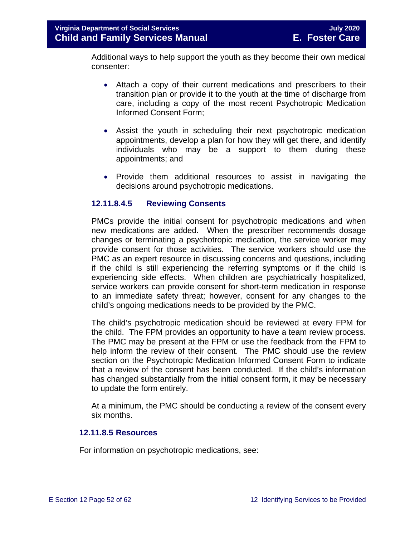Additional ways to help support the youth as they become their own medical consenter:

- Attach a copy of their current medications and prescribers to their transition plan or provide it to the youth at the time of discharge from care, including a copy of the most recent Psychotropic Medication Informed Consent Form;
- Assist the youth in scheduling their next psychotropic medication appointments, develop a plan for how they will get there, and identify individuals who may be a support to them during these appointments; and
- Provide them additional resources to assist in navigating the decisions around psychotropic medications.

#### <span id="page-51-0"></span>**12.11.8.4.5 Reviewing Consents**

PMCs provide the initial consent for psychotropic medications and when new medications are added. When the prescriber recommends dosage changes or terminating a psychotropic medication, the service worker may provide consent for those activities. The service workers should use the PMC as an expert resource in discussing concerns and questions, including if the child is still experiencing the referring symptoms or if the child is experiencing side effects. When children are psychiatrically hospitalized, service workers can provide consent for short-term medication in response to an immediate safety threat; however, consent for any changes to the child's ongoing medications needs to be provided by the PMC.

The child's psychotropic medication should be reviewed at every FPM for the child. The FPM provides an opportunity to have a team review process. The PMC may be present at the FPM or use the feedback from the FPM to help inform the review of their consent. The PMC should use the review section on the Psychotropic Medication Informed Consent Form to indicate that a review of the consent has been conducted. If the child's information has changed substantially from the initial consent form, it may be necessary to update the form entirely.

At a minimum, the PMC should be conducting a review of the consent every six months.

#### **12.11.8.5 Resources**

For information on psychotropic medications, see: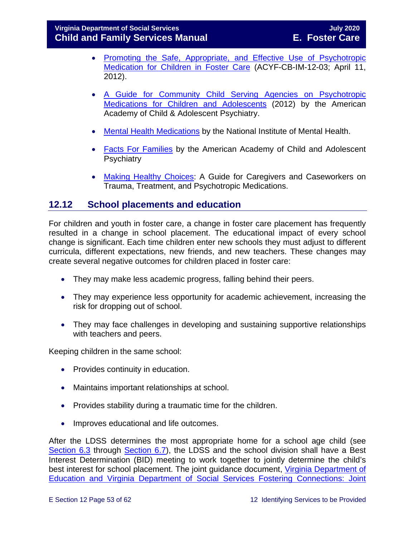- [Promoting the Safe, Appropriate, and Effective Use of Psychotropic](http://www.acf.hhs.gov/sites/default/files/cb/im1203.pdf)  [Medication for Children in Foster Care](http://www.acf.hhs.gov/sites/default/files/cb/im1203.pdf) (ACYF-CB-IM-12-03; April 11, 2012).
- [A Guide for Community Child Serving Agencies on Psychotropic](http://www.aacap.org/App_Themes/AACAP/docs/press/guide_for_community_child_serving_agencies_on_psychotropic_medications_for_children_and_adolescents_2012.pdf)  [Medications for Children and Adolescents](http://www.aacap.org/App_Themes/AACAP/docs/press/guide_for_community_child_serving_agencies_on_psychotropic_medications_for_children_and_adolescents_2012.pdf) (2012) by the American Academy of Child & Adolescent Psychiatry.
- [Mental Health Medications](http://www.nimh.nih.gov/health/publications/mental-health-medications/nimh-mental-health-medications.pdf) by the National Institute of Mental Health.
- [Facts For Families](https://www.aacap.org/AACAP/Families_and_Youth/Facts_for_Families/Facts_for_families_Pages/Psychiatric_Medication_For_Children_And_Adolescents_Part_I_How_Medications_Are_Used_21.aspx) by the American Academy of Child and Adolescent **Psychiatry**
- <span id="page-52-0"></span>• [Making Healthy Choices:](https://www.childwelfare.gov/pubs/mhc-caregivers/) A Guide for Caregivers and Caseworkers on Trauma, Treatment, and Psychotropic Medications.

# <span id="page-52-1"></span>**12.12 School placements and education**

For children and youth in foster care, a change in foster care placement has frequently resulted in a change in school placement. The educational impact of every school change is significant. Each time children enter new schools they must adjust to different curricula, different expectations, new friends, and new teachers. These changes may create several negative outcomes for children placed in foster care:

- They may make less academic progress, falling behind their peers.
- They may experience less opportunity for academic achievement, increasing the risk for dropping out of school.
- They may face challenges in developing and sustaining supportive relationships with teachers and peers.

Keeping children in the same school:

- Provides continuity in education.
- Maintains important relationships at school.
- Provides stability during a traumatic time for the children.
- Improves educational and life outcomes.

After the LDSS determines the most appropriate home for a school age child (see [Section 6.3](https://fusion.dss.virginia.gov/Portals/%5bdfs%5d/Files/DFS%20Manuals/Foster%20Care%20Manuals/Foster%20Care%20Manual%2007-2020/Final%20Foster%20Care%20Manual%2007-2020/section_6_placement_to_achieve_permanency.pdf#page=10) through [Section 6.7\)](https://fusion.dss.virginia.gov/Portals/%5bdfs%5d/Files/DFS%20Manuals/Foster%20Care%20Manuals/Foster%20Care%20Manual%2007-2020/Final%20Foster%20Care%20Manual%2007-2020/section_6_placement_to_achieve_permanency.pdf#page=17), the LDSS and the school division shall have a Best Interest Determination (BID) meeting to work together to jointly determine the child's best interest for school placement. The joint guidance document, Virginia Department of [Education and Virginia Department of Social Services Fostering Connections: Joint](https://fusion.dss.virginia.gov/Portals/%5Bdfs%5D/Files/Foster%20Care/Joint%20Guidance/VDOE%20VDSS%20-%20Joint%20Guidance%20for%20School%20Stability%20of%20Children%20Youth%20in%20FC.pdf)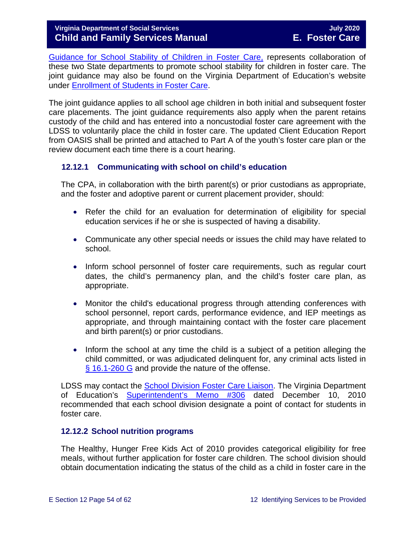[Guidance for School Stability of Children in Foster Care,](https://fusion.dss.virginia.gov/Portals/%5Bdfs%5D/Files/Foster%20Care/Joint%20Guidance/VDOE%20VDSS%20-%20Joint%20Guidance%20for%20School%20Stability%20of%20Children%20Youth%20in%20FC.pdf) represents collaboration of these two State departments to promote school stability for children in foster care. The joint guidance may also be found on the Virginia Department of Education's website under [Enrollment of Students in Foster Care.](http://www.doe.virginia.gov/support/student_family/foster_care_students/index.shtml)

The joint guidance applies to all school age children in both initial and subsequent foster care placements. The joint guidance requirements also apply when the parent retains custody of the child and has entered into a noncustodial foster care agreement with the LDSS to voluntarily place the child in foster care. The updated Client Education Report from OASIS shall be printed and attached to Part A of the youth's foster care plan or the review document each time there is a court hearing.

#### <span id="page-53-0"></span>**12.12.1 Communicating with school on child's education**

The CPA, in collaboration with the birth parent(s) or prior custodians as appropriate, and the foster and adoptive parent or current placement provider, should:

- Refer the child for an evaluation for determination of eligibility for special education services if he or she is suspected of having a disability.
- Communicate any other special needs or issues the child may have related to school.
- Inform school personnel of foster care requirements, such as regular court dates, the child's permanency plan, and the child's foster care plan, as appropriate.
- Monitor the child's educational progress through attending conferences with school personnel, report cards, performance evidence, and IEP meetings as appropriate, and through maintaining contact with the foster care placement and birth parent(s) or prior custodians.
- Inform the school at any time the child is a subject of a petition alleging the child committed, or was adjudicated delinquent for, any criminal acts listed in [§ 16.1-260 G](https://law.lis.virginia.gov/vacode/16.1-260/) and provide the nature of the offense.

LDSS may contact the [School Division Foster Care Liaison.](http://www.doe.virginia.gov/support/student_family/foster_care_students/dss-lea-fostercare-liaison-list.xlsx) The Virginia Department of Education's [Superintendent's Memo #306](http://www.doe.virginia.gov/administrators/superintendents_memos/2010/306-10.shtml) dated December 10, 2010 recommended that each school division designate a point of contact for students in foster care.

#### <span id="page-53-1"></span>**12.12.2 School nutrition programs**

The Healthy, Hunger Free Kids Act of 2010 provides categorical eligibility for free meals, without further application for foster care children. The school division should obtain documentation indicating the status of the child as a child in foster care in the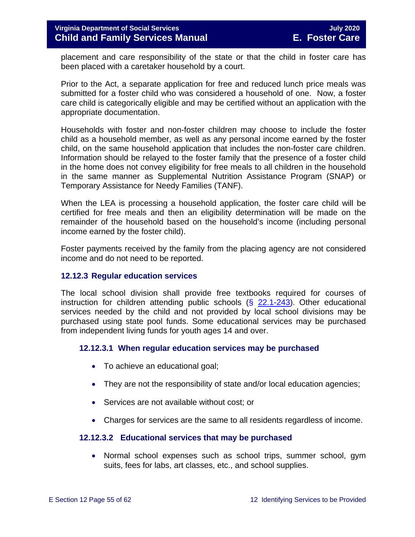placement and care responsibility of the state or that the child in foster care has been placed with a caretaker household by a court.

Prior to the Act, a separate application for free and reduced lunch price meals was submitted for a foster child who was considered a household of one. Now, a foster care child is categorically eligible and may be certified without an application with the appropriate documentation.

Households with foster and non-foster children may choose to include the foster child as a household member, as well as any personal income earned by the foster child, on the same household application that includes the non-foster care children. Information should be relayed to the foster family that the presence of a foster child in the home does not convey eligibility for free meals to all children in the household in the same manner as Supplemental Nutrition Assistance Program (SNAP) or Temporary Assistance for Needy Families (TANF).

When the LEA is processing a household application, the foster care child will be certified for free meals and then an eligibility determination will be made on the remainder of the household based on the household's income (including personal income earned by the foster child).

Foster payments received by the family from the placing agency are not considered income and do not need to be reported.

#### <span id="page-54-0"></span>**12.12.3 Regular education services**

The local school division shall provide free textbooks required for courses of instruction for children attending public schools  $(\S$  [22.1-243\)](https://law.lis.virginia.gov/vacode/22.1-243/). Other educational services needed by the child and not provided by local school divisions may be purchased using state pool funds. Some educational services may be purchased from independent living funds for youth ages 14 and over.

#### **12.12.3.1 When regular education services may be purchased**

- To achieve an educational goal;
- They are not the responsibility of state and/or local education agencies;
- Services are not available without cost; or
- Charges for services are the same to all residents regardless of income.

#### **12.12.3.2 Educational services that may be purchased**

• Normal school expenses such as school trips, summer school, gym suits, fees for labs, art classes, etc., and school supplies.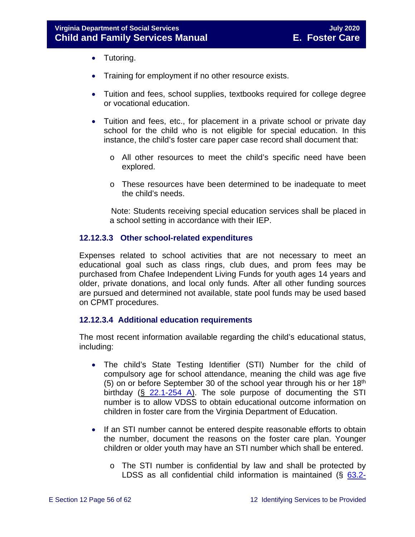- Tutoring.
- Training for employment if no other resource exists.
- Tuition and fees, school supplies, textbooks required for college degree or vocational education.
- Tuition and fees, etc., for placement in a private school or private day school for the child who is not eligible for special education. In this instance, the child's foster care paper case record shall document that:
	- o All other resources to meet the child's specific need have been explored.
	- o These resources have been determined to be inadequate to meet the child's needs.

 Note: Students receiving special education services shall be placed in a school setting in accordance with their IEP.

#### **12.12.3.3 Other school-related expenditures**

Expenses related to school activities that are not necessary to meet an educational goal such as class rings, club dues, and prom fees may be purchased from Chafee Independent Living Funds for youth ages 14 years and older, private donations, and local only funds. After all other funding sources are pursued and determined not available, state pool funds may be used based on CPMT procedures.

#### **12.12.3.4 Additional education requirements**

The most recent information available regarding the child's educational status, including:

- The child's State Testing Identifier (STI) Number for the child of compulsory age for school attendance, meaning the child was age five (5) on or before September 30 of the school year through his or her  $18<sup>th</sup>$ birthday (§ [22.1-254 A\)](https://law.lis.virginia.gov/vacode/22.1-254/). The sole purpose of documenting the STI number is to allow VDSS to obtain educational outcome information on children in foster care from the Virginia Department of Education.
- If an STI number cannot be entered despite reasonable efforts to obtain the number, document the reasons on the foster care plan. Younger children or older youth may have an STI number which shall be entered.
	- o The STI number is confidential by law and shall be protected by LDSS as all confidential child information is maintained (§ [63.2-](https://law.lis.virginia.gov/vacode/63.2-104/)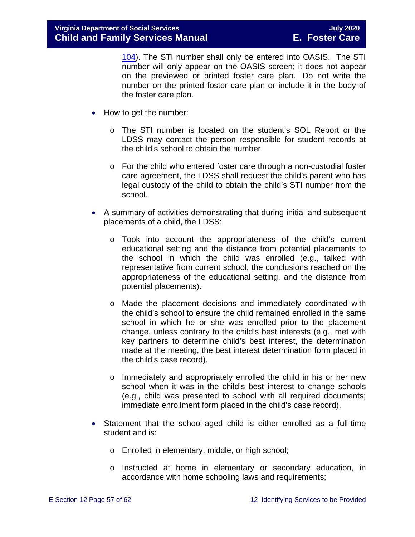[104\)](https://law.lis.virginia.gov/vacode/63.2-104/). The STI number shall only be entered into OASIS. The STI number will only appear on the OASIS screen; it does not appear on the previewed or printed foster care plan. Do not write the number on the printed foster care plan or include it in the body of the foster care plan.

- How to get the number:
	- o The STI number is located on the student's SOL Report or the LDSS may contact the person responsible for student records at the child's school to obtain the number.
	- o For the child who entered foster care through a non-custodial foster care agreement, the LDSS shall request the child's parent who has legal custody of the child to obtain the child's STI number from the school.
- A summary of activities demonstrating that during initial and subsequent placements of a child, the LDSS:
	- o Took into account the appropriateness of the child's current educational setting and the distance from potential placements to the school in which the child was enrolled (e.g., talked with representative from current school, the conclusions reached on the appropriateness of the educational setting, and the distance from potential placements).
	- o Made the placement decisions and immediately coordinated with the child's school to ensure the child remained enrolled in the same school in which he or she was enrolled prior to the placement change, unless contrary to the child's best interests (e.g., met with key partners to determine child's best interest, the determination made at the meeting, the best interest determination form placed in the child's case record).
	- o Immediately and appropriately enrolled the child in his or her new school when it was in the child's best interest to change schools (e.g., child was presented to school with all required documents; immediate enrollment form placed in the child's case record).
- Statement that the school-aged child is either enrolled as a full-time student and is:
	- o Enrolled in elementary, middle, or high school;
	- o Instructed at home in elementary or secondary education, in accordance with home schooling laws and requirements;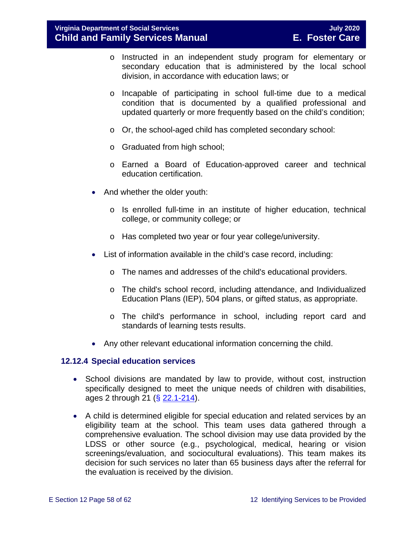- o Instructed in an independent study program for elementary or secondary education that is administered by the local school division, in accordance with education laws; or
- o Incapable of participating in school full-time due to a medical condition that is documented by a qualified professional and updated quarterly or more frequently based on the child's condition;
- o Or, the school-aged child has completed secondary school:
- o Graduated from high school;
- o Earned a Board of Education-approved career and technical education certification.
- And whether the older youth:
	- o Is enrolled full-time in an institute of higher education, technical college, or community college; or
	- o Has completed two year or four year college/university.
- List of information available in the child's case record, including:
	- o The names and addresses of the child's educational providers.
	- o The child's school record, including attendance, and Individualized Education Plans (IEP), 504 plans, or gifted status, as appropriate.
	- o The child's performance in school, including report card and standards of learning tests results.
- Any other relevant educational information concerning the child.

#### <span id="page-57-0"></span>**12.12.4 Special education services**

- School divisions are mandated by law to provide, without cost, instruction specifically designed to meet the unique needs of children with disabilities, ages 2 through 21 (§ [22.1-214\)](https://law.lis.virginia.gov/vacode/22.1-214/).
- A child is determined eligible for special education and related services by an eligibility team at the school. This team uses data gathered through a comprehensive evaluation. The school division may use data provided by the LDSS or other source (e.g., psychological, medical, hearing or vision screenings/evaluation, and sociocultural evaluations). This team makes its decision for such services no later than 65 business days after the referral for the evaluation is received by the division.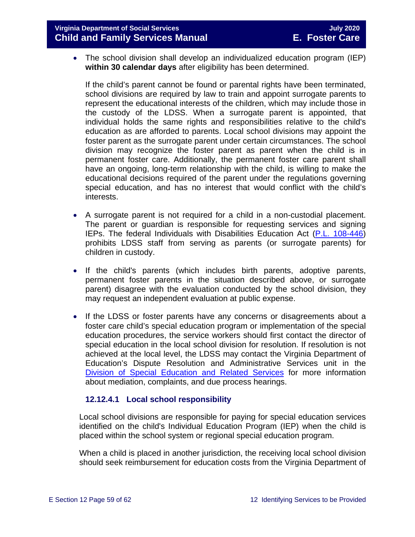#### **Virginia Department of Social Services July 2020 Child and Family Services Manual**

• The school division shall develop an individualized education program (IEP) **within 30 calendar days** after eligibility has been determined.

If the child's parent cannot be found or parental rights have been terminated, school divisions are required by law to train and appoint surrogate parents to represent the educational interests of the children, which may include those in the custody of the LDSS. When a surrogate parent is appointed, that individual holds the same rights and responsibilities relative to the child's education as are afforded to parents. Local school divisions may appoint the foster parent as the surrogate parent under certain circumstances. The school division may recognize the foster parent as parent when the child is in permanent foster care. Additionally, the permanent foster care parent shall have an ongoing, long-term relationship with the child, is willing to make the educational decisions required of the parent under the regulations governing special education, and has no interest that would conflict with the child's interests.

- A surrogate parent is not required for a child in a non-custodial placement. The parent or guardian is responsible for requesting services and signing IEPs. The federal Individuals with Disabilities Education Act [\(P.L. 108-446\)](https://www.gpo.gov/fdsys/pkg/PLAW-108publ446) prohibits LDSS staff from serving as parents (or surrogate parents) for children in custody.
- If the child's parents (which includes birth parents, adoptive parents, permanent foster parents in the situation described above, or surrogate parent) disagree with the evaluation conducted by the school division, they may request an independent evaluation at public expense.
- If the LDSS or foster parents have any concerns or disagreements about a foster care child's special education program or implementation of the special education procedures, the service workers should first contact the director of special education in the local school division for resolution. If resolution is not achieved at the local level, the LDSS may contact the Virginia Department of Education's Dispute Resolution and Administrative Services unit in the [Division of Special Education and Related Services](http://www.doe.virginia.gov/special_ed/resolving_disputes/) for more information about mediation, complaints, and due process hearings.

#### **12.12.4.1 Local school responsibility**

Local school divisions are responsible for paying for special education services identified on the child's Individual Education Program (IEP) when the child is placed within the school system or regional special education program.

When a child is placed in another jurisdiction, the receiving local school division should seek reimbursement for education costs from the Virginia Department of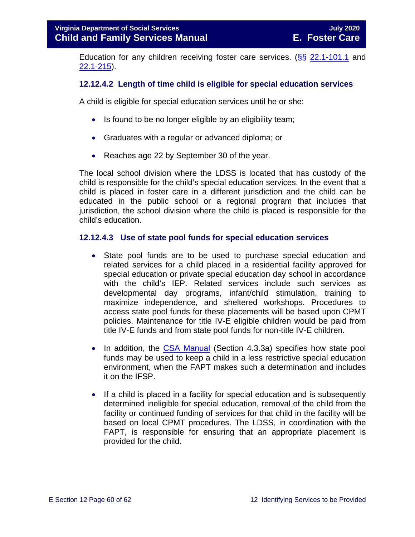Education for any children receiving foster care services. ( $\S$ § [22.1-101.1](https://law.lis.virginia.gov/vacode/22.1-101.1/) and [22.1-215\)](https://law.lis.virginia.gov/vacode/22.1-215/).

#### **12.12.4.2 Length of time child is eligible for special education services**

A child is eligible for special education services until he or she:

- Is found to be no longer eligible by an eligibility team;
- Graduates with a regular or advanced diploma; or
- Reaches age 22 by September 30 of the year.

The local school division where the LDSS is located that has custody of the child is responsible for the child's special education services. In the event that a child is placed in foster care in a different jurisdiction and the child can be educated in the public school or a regional program that includes that jurisdiction, the school division where the child is placed is responsible for the child's education.

#### **12.12.4.3 Use of state pool funds for special education services**

- State pool funds are to be used to purchase special education and related services for a child placed in a residential facility approved for special education or private special education day school in accordance with the child's IEP. Related services include such services as developmental day programs, infant/child stimulation, training to maximize independence, and sheltered workshops. Procedures to access state pool funds for these placements will be based upon CPMT policies. Maintenance for title IV-E eligible children would be paid from title IV-E funds and from state pool funds for non-title IV-E children.
- In addition, the [CSA Manual](http://www.csa.state.va.us/html/manual_pubs/csa_manual_publications.cfm) (Section 4.3.3a) specifies how state pool funds may be used to keep a child in a less restrictive special education environment, when the FAPT makes such a determination and includes it on the IFSP.
- If a child is placed in a facility for special education and is subsequently determined ineligible for special education, removal of the child from the facility or continued funding of services for that child in the facility will be based on local CPMT procedures. The LDSS, in coordination with the FAPT, is responsible for ensuring that an appropriate placement is provided for the child.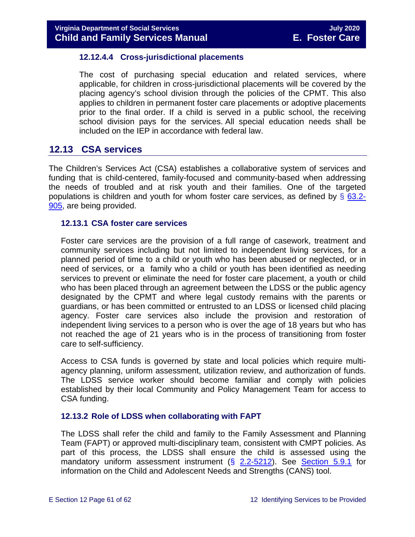#### **12.12.4.4 Cross-jurisdictional placements**

The cost of purchasing special education and related services, where applicable, for children in cross-jurisdictional placements will be covered by the placing agency's school division through the policies of the CPMT. This also applies to children in permanent foster care placements or adoptive placements prior to the final order. If a child is served in a public school, the receiving school division pays for the services. All special education needs shall be included on the IEP in accordance with federal law.

### <span id="page-60-0"></span>**12.13 CSA services**

The Children's Services Act (CSA) establishes a collaborative system of services and funding that is child-centered, family-focused and community-based when addressing the needs of troubled and at risk youth and their families. One of the targeted populations is children and youth for whom foster care services, as defined by  $\S$  [63.2-](https://law.lis.virginia.gov/vacode/63.2-905/) [905,](https://law.lis.virginia.gov/vacode/63.2-905/) are being provided.

#### <span id="page-60-1"></span>**12.13.1 CSA foster care services**

Foster care services are the provision of a full range of casework, treatment and community services including but not limited to independent living services, for a planned period of time to a child or youth who has been abused or neglected, or in need of services, or a family who a child or youth has been identified as needing services to prevent or eliminate the need for foster care placement, a youth or child who has been placed through an agreement between the LDSS or the public agency designated by the CPMT and where legal custody remains with the parents or guardians, or has been committed or entrusted to an LDSS or licensed child placing agency. Foster care services also include the provision and restoration of independent living services to a person who is over the age of 18 years but who has not reached the age of 21 years who is in the process of transitioning from foster care to self-sufficiency.

Access to CSA funds is governed by state and local policies which require multiagency planning, uniform assessment, utilization review, and authorization of funds. The LDSS service worker should become familiar and comply with policies established by their local Community and Policy Management Team for access to CSA funding.

#### <span id="page-60-2"></span>**12.13.2 Role of LDSS when collaborating with FAPT**

The LDSS shall refer the child and family to the Family Assessment and Planning Team (FAPT) or approved multi-disciplinary team, consistent with CMPT policies. As part of this process, the LDSS shall ensure the child is assessed using the mandatory uniform assessment instrument (§ [2.2-5212\)](https://law.lis.virginia.gov/vacode/2.2-5212/). See [Section 5.9.1](https://fusion.dss.virginia.gov/Portals/%5bdfs%5d/Files/DFS%20Manuals/Foster%20Care%20Manuals/Foster%20Care%20Manual%2007-2020/Final%20Foster%20Care%20Manual%2007-2020/section_5_conducting_child_and_family_assessment.pdf#page=18) for information on the Child and Adolescent Needs and Strengths (CANS) tool.